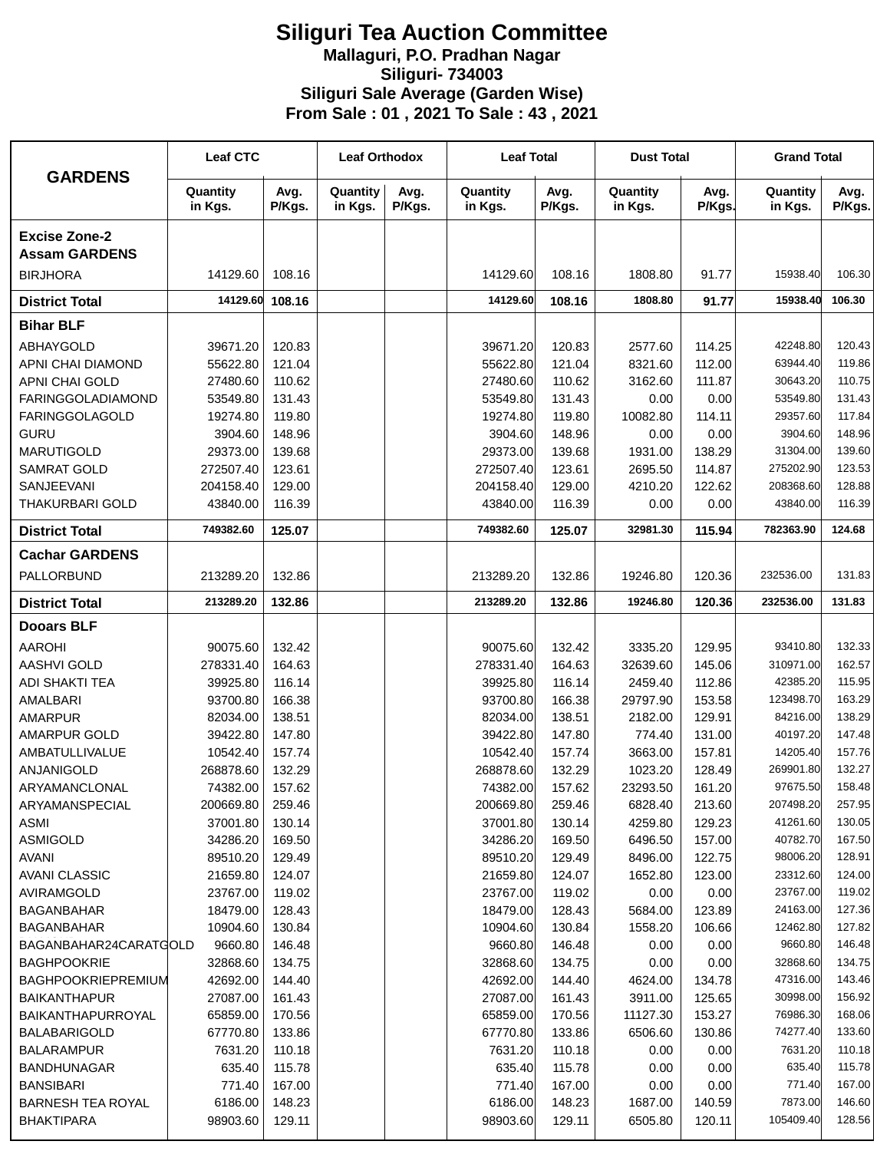## **Siliguri Tea Auction Committee Mallaguri, P.O. Pradhan Nagar Siliguri- 734003 Siliguri Sale Average (Garden Wise) From Sale : 01 , 2021 To Sale : 43 , 2021**

| <b>GARDENS</b>                               | <b>Leaf CTC</b>     |                | <b>Leaf Orthodox</b> |                | <b>Leaf Total</b>   |                | <b>Dust Total</b>   |                | <b>Grand Total</b>  |                |
|----------------------------------------------|---------------------|----------------|----------------------|----------------|---------------------|----------------|---------------------|----------------|---------------------|----------------|
|                                              | Quantity<br>in Kgs. | Avg.<br>P/Kgs. | Quantity<br>in Kgs.  | Avg.<br>P/Kgs. | Quantity<br>in Kgs. | Avg.<br>P/Kgs. | Quantity<br>in Kgs. | Avg.<br>P/Kgs. | Quantity<br>in Kgs. | Avg.<br>P/Kgs. |
| <b>Excise Zone-2</b><br><b>Assam GARDENS</b> |                     |                |                      |                |                     |                |                     |                |                     |                |
| <b>BIRJHORA</b>                              | 14129.60            | 108.16         |                      |                | 14129.60            | 108.16         | 1808.80             | 91.77          | 15938.40            | 106.30         |
| <b>District Total</b>                        | 14129.60            | 108.16         |                      |                | 14129.60            | 108.16         | 1808.80             | 91.77          | 15938.40            | 106.30         |
| <b>Bihar BLF</b>                             |                     |                |                      |                |                     |                |                     |                |                     |                |
| ABHAYGOLD                                    | 39671.20            | 120.83         |                      |                | 39671.20            | 120.83         | 2577.60             | 114.25         | 42248.80            | 120.43         |
| APNI CHAI DIAMOND                            | 55622.80            | 121.04         |                      |                | 55622.80            | 121.04         | 8321.60             | 112.00         | 63944.40            | 119.86         |
| APNI CHAI GOLD                               | 27480.60            | 110.62         |                      |                | 27480.60            | 110.62         | 3162.60             | 111.87         | 30643.20            | 110.75         |
| <b>FARINGGOLADIAMOND</b>                     | 53549.80            | 131.43         |                      |                | 53549.80            | 131.43         | 0.00                | 0.00           | 53549.80            | 131.43         |
| <b>FARINGGOLAGOLD</b>                        | 19274.80            | 119.80         |                      |                | 19274.80            | 119.80         | 10082.80            | 114.11         | 29357.60            | 117.84         |
| <b>GURU</b>                                  | 3904.60             | 148.96         |                      |                | 3904.60             | 148.96         | 0.00                | 0.00           | 3904.60             | 148.96         |
| <b>MARUTIGOLD</b>                            | 29373.00            | 139.68         |                      |                | 29373.00            | 139.68         | 1931.00             | 138.29         | 31304.00            | 139.60         |
| <b>SAMRAT GOLD</b>                           | 272507.40           | 123.61         |                      |                | 272507.40           | 123.61         | 2695.50             | 114.87         | 275202.90           | 123.53         |
| SANJEEVANI                                   | 204158.40           | 129.00         |                      |                | 204158.40           | 129.00         | 4210.20             | 122.62         | 208368.60           | 128.88         |
| <b>THAKURBARI GOLD</b>                       | 43840.00            | 116.39         |                      |                | 43840.00            | 116.39         | 0.00                | 0.00           | 43840.00            | 116.39         |
| <b>District Total</b>                        | 749382.60           | 125.07         |                      |                | 749382.60           | 125.07         | 32981.30            | 115.94         | 782363.90           | 124.68         |
| <b>Cachar GARDENS</b>                        |                     |                |                      |                |                     |                |                     |                |                     |                |
| PALLORBUND                                   | 213289.20           | 132.86         |                      |                | 213289.20           | 132.86         | 19246.80            | 120.36         | 232536.00           | 131.83         |
| <b>District Total</b>                        | 213289.20           | 132.86         |                      |                | 213289.20           | 132.86         | 19246.80            | 120.36         | 232536.00           | 131.83         |
| <b>Dooars BLF</b>                            |                     |                |                      |                |                     |                |                     |                |                     |                |
| <b>AAROHI</b>                                | 90075.60            | 132.42         |                      |                | 90075.60            | 132.42         | 3335.20             | 129.95         | 93410.80            | 132.33         |
| <b>AASHVI GOLD</b>                           | 278331.40           | 164.63         |                      |                | 278331.40           | 164.63         | 32639.60            | 145.06         | 310971.00           | 162.57         |
| <b>ADI SHAKTI TEA</b>                        | 39925.80            | 116.14         |                      |                | 39925.80            | 116.14         | 2459.40             | 112.86         | 42385.20            | 115.95         |
| AMALBARI                                     | 93700.80            | 166.38         |                      |                | 93700.80            | 166.38         | 29797.90            | 153.58         | 123498.70           | 163.29         |
| <b>AMARPUR</b>                               | 82034.00            | 138.51         |                      |                | 82034.00            | 138.51         | 2182.00             | 129.91         | 84216.00            | 138.29         |
| AMARPUR GOLD                                 | 39422.80            | 147.80         |                      |                | 39422.80            | 147.80         | 774.40              | 131.00         | 40197.20            | 147.48         |
| <b>AMBATULLIVALUE</b>                        | 10542.40            | 157.74         |                      |                | 10542.40            | 157.74         | 3663.00             | 157.81         | 14205.40            | 157.76         |
| ANJANIGOLD                                   | 268878.60           | 132.29         |                      |                | 268878.60           | 132.29         | 1023.20             | 128.49         | 269901.80           | 132.27         |
| ARYAMANCLONAL                                | 74382.00            | 157.62         |                      |                | 74382.00            | 157.62         | 23293.50            | 161.20         | 97675.50            | 158.48         |
| ARYAMANSPECIAL                               | 200669.80           | 259.46         |                      |                | 200669.80           | 259.46         | 6828.40             | 213.60         | 207498.20           | 257.95         |
| ASMI                                         | 37001.80            | 130.14         |                      |                | 37001.80            | 130.14         | 4259.80             | 129.23         | 41261.60            | 130.05         |
| <b>ASMIGOLD</b>                              | 34286.20            | 169.50         |                      |                | 34286.20            | 169.50         | 6496.50             | 157.00         | 40782.70            | 167.50         |
| <b>AVANI</b>                                 | 89510.20            | 129.49         |                      |                | 89510.20            | 129.49         | 8496.00             | 122.75         | 98006.20            | 128.91         |
| <b>AVANI CLASSIC</b>                         | 21659.80            | 124.07         |                      |                | 21659.80            | 124.07         | 1652.80             | 123.00         | 23312.60            | 124.00         |
| AVIRAMGOLD                                   | 23767.00            | 119.02         |                      |                | 23767.00            | 119.02         | 0.00                | 0.00           | 23767.00            | 119.02         |
| <b>BAGANBAHAR</b>                            | 18479.00            | 128.43         |                      |                | 18479.00            | 128.43         | 5684.00             | 123.89         | 24163.00            | 127.36         |
| <b>BAGANBAHAR</b>                            | 10904.60            | 130.84         |                      |                | 10904.60            | 130.84         | 1558.20             | 106.66         | 12462.80            | 127.82         |
| BAGANBAHAR24CARATGOLD                        | 9660.80             | 146.48         |                      |                | 9660.80             | 146.48         | 0.00                | 0.00           | 9660.80             | 146.48         |
| <b>BAGHPOOKRIE</b>                           | 32868.60            | 134.75         |                      |                | 32868.60            | 134.75         | 0.00                | 0.00           | 32868.60            | 134.75         |
| BAGHPOOKRIEPREMIUM                           | 42692.00            | 144.40         |                      |                | 42692.00            | 144.40         | 4624.00             | 134.78         | 47316.00            | 143.46         |
| <b>BAIKANTHAPUR</b>                          | 27087.00            | 161.43         |                      |                | 27087.00            | 161.43         | 3911.00             | 125.65         | 30998.00            | 156.92         |
| <b>BAIKANTHAPURROYAL</b>                     | 65859.00            | 170.56         |                      |                | 65859.00            | 170.56         | 11127.30            | 153.27         | 76986.30            | 168.06         |
| <b>BALABARIGOLD</b>                          | 67770.80            | 133.86         |                      |                | 67770.80            | 133.86         | 6506.60             | 130.86         | 74277.40            | 133.60         |
| <b>BALARAMPUR</b>                            | 7631.20             | 110.18         |                      |                | 7631.20             | 110.18         | 0.00                | 0.00           | 7631.20             | 110.18         |
| <b>BANDHUNAGAR</b>                           | 635.40              | 115.78         |                      |                | 635.40              | 115.78         | 0.00                | 0.00           | 635.40              | 115.78         |
| <b>BANSIBARI</b>                             | 771.40              | 167.00         |                      |                | 771.40              | 167.00         | 0.00                | 0.00           | 771.40              | 167.00         |
| <b>BARNESH TEA ROYAL</b>                     | 6186.00             | 148.23         |                      |                | 6186.00             | 148.23         | 1687.00             | 140.59         | 7873.00             | 146.60         |
| <b>BHAKTIPARA</b>                            | 98903.60            | 129.11         |                      |                | 98903.60            | 129.11         | 6505.80             | 120.11         | 105409.40           | 128.56         |
|                                              |                     |                |                      |                |                     |                |                     |                |                     |                |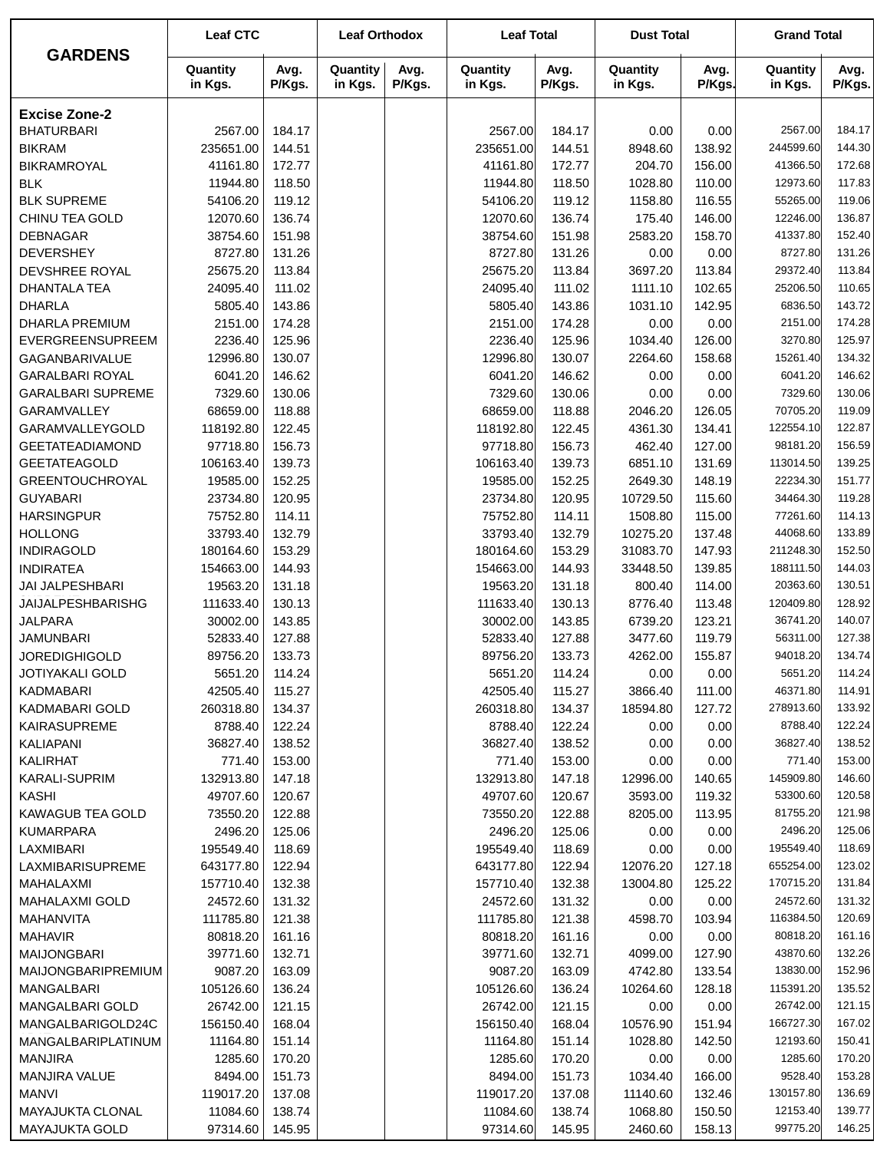|                                                    | <b>Leaf CTC</b>      |                  | <b>Leaf Orthodox</b> |                | <b>Leaf Total</b>    |                  | <b>Dust Total</b>   |                  | <b>Grand Total</b>   |                  |
|----------------------------------------------------|----------------------|------------------|----------------------|----------------|----------------------|------------------|---------------------|------------------|----------------------|------------------|
| <b>GARDENS</b>                                     | Quantity<br>in Kgs.  | Avg.<br>P/Kgs.   | Quantity<br>in Kgs.  | Avg.<br>P/Kgs. | Quantity<br>in Kgs.  | Avg.<br>P/Kgs.   | Quantity<br>in Kgs. | Avg.<br>P/Kgs.   | Quantity<br>in Kgs.  | Avg.<br>P/Kgs.   |
| <b>Excise Zone-2</b>                               |                      |                  |                      |                |                      |                  |                     |                  |                      |                  |
| <b>BHATURBARI</b>                                  | 2567.00              | 184.17           |                      |                | 2567.00              | 184.17           | 0.00                | 0.00             | 2567.00              | 184.17           |
| <b>BIKRAM</b>                                      | 235651.00            | 144.51           |                      |                | 235651.00            | 144.51           | 8948.60             | 138.92           | 244599.60            | 144.30           |
| <b>BIKRAMROYAL</b>                                 | 41161.80             | 172.77           |                      |                | 41161.80             | 172.77           | 204.70              | 156.00           | 41366.50             | 172.68           |
| <b>BLK</b>                                         | 11944.80             | 118.50           |                      |                | 11944.80             | 118.50           | 1028.80             | 110.00           | 12973.60             | 117.83           |
| <b>BLK SUPREME</b>                                 | 54106.20             | 119.12           |                      |                | 54106.20             | 119.12           | 1158.80             | 116.55           | 55265.00             | 119.06           |
| CHINU TEA GOLD                                     | 12070.60             | 136.74           |                      |                | 12070.60             | 136.74           | 175.40              | 146.00           | 12246.00             | 136.87           |
| <b>DEBNAGAR</b>                                    | 38754.60             | 151.98           |                      |                | 38754.60             | 151.98           | 2583.20             | 158.70           | 41337.80             | 152.40           |
| <b>DEVERSHEY</b>                                   | 8727.80              | 131.26           |                      |                | 8727.80              | 131.26           | 0.00                | 0.00             | 8727.80              | 131.26           |
| DEVSHREE ROYAL                                     | 25675.20             | 113.84           |                      |                | 25675.20             | 113.84           | 3697.20             | 113.84           | 29372.40             | 113.84           |
| <b>DHANTALA TEA</b>                                | 24095.40             | 111.02           |                      |                | 24095.40             | 111.02           | 1111.10             | 102.65           | 25206.50             | 110.65           |
| <b>DHARLA</b>                                      | 5805.40              | 143.86           |                      |                | 5805.40              | 143.86           | 1031.10             | 142.95           | 6836.50              | 143.72           |
| <b>DHARLA PREMIUM</b>                              | 2151.00              | 174.28           |                      |                | 2151.00              | 174.28           | 0.00                | 0.00             | 2151.00              | 174.28           |
| EVERGREENSUPREEM                                   | 2236.40<br>12996.80  | 125.96           |                      |                | 2236.40              | 125.96           | 1034.40             | 126.00           | 3270.80<br>15261.40  | 125.97<br>134.32 |
| GAGANBARIVALUE                                     | 6041.20              | 130.07<br>146.62 |                      |                | 12996.80<br>6041.20  | 130.07<br>146.62 | 2264.60<br>0.00     | 158.68<br>0.00   | 6041.20              | 146.62           |
| <b>GARALBARI ROYAL</b><br><b>GARALBARI SUPREME</b> | 7329.60              | 130.06           |                      |                | 7329.60              | 130.06           |                     |                  | 7329.60              | 130.06           |
| GARAMVALLEY                                        | 68659.00             | 118.88           |                      |                | 68659.00             | 118.88           | 0.00<br>2046.20     | 0.00<br>126.05   | 70705.20             | 119.09           |
| <b>GARAMVALLEYGOLD</b>                             | 118192.80            | 122.45           |                      |                | 118192.80            | 122.45           | 4361.30             | 134.41           | 122554.10            | 122.87           |
| <b>GEETATEADIAMOND</b>                             | 97718.80             | 156.73           |                      |                | 97718.80             | 156.73           | 462.40              | 127.00           | 98181.20             | 156.59           |
| <b>GEETATEAGOLD</b>                                | 106163.40            | 139.73           |                      |                | 106163.40            | 139.73           | 6851.10             | 131.69           | 113014.50            | 139.25           |
| <b>GREENTOUCHROYAL</b>                             | 19585.00             | 152.25           |                      |                | 19585.00             | 152.25           | 2649.30             | 148.19           | 22234.30             | 151.77           |
| <b>GUYABARI</b>                                    | 23734.80             | 120.95           |                      |                | 23734.80             | 120.95           | 10729.50            | 115.60           | 34464.30             | 119.28           |
| <b>HARSINGPUR</b>                                  | 75752.80             | 114.11           |                      |                | 75752.80             | 114.11           | 1508.80             | 115.00           | 77261.60             | 114.13           |
| <b>HOLLONG</b>                                     | 33793.40             | 132.79           |                      |                | 33793.40             | 132.79           | 10275.20            | 137.48           | 44068.60             | 133.89           |
| <b>INDIRAGOLD</b>                                  | 180164.60            | 153.29           |                      |                | 180164.60            | 153.29           | 31083.70            | 147.93           | 211248.30            | 152.50           |
| <b>INDIRATEA</b>                                   | 154663.00            | 144.93           |                      |                | 154663.00            | 144.93           | 33448.50            | 139.85           | 188111.50            | 144.03           |
| <b>JAI JALPESHBARI</b>                             | 19563.20             | 131.18           |                      |                | 19563.20             | 131.18           | 800.40              | 114.00           | 20363.60             | 130.51           |
| JAIJALPESHBARISHG                                  | 111633.40            | 130.13           |                      |                | 111633.40            | 130.13           | 8776.40             | 113.48           | 120409.80            | 128.92           |
| <b>JALPARA</b>                                     | 30002.00             | 143.85           |                      |                | 30002.00             | 143.85           | 6739.20             | 123.21           | 36741.20             | 140.07           |
| <b>JAMUNBARI</b>                                   | 52833.40             | 127.88           |                      |                | 52833.40             | 127.88           | 3477.60             | 119.79           | 56311.00             | 127.38           |
| <b>JOREDIGHIGOLD</b>                               | 89756.20             | 133.73           |                      |                | 89756.20             | 133.73           | 4262.00             | 155.87           | 94018.20             | 134.74           |
| JOTIYAKALI GOLD                                    | 5651.20              | 114.24           |                      |                | 5651.20              | 114.24           | 0.00                | 0.00             | 5651.20              | 114.24           |
| <b>KADMABARI</b>                                   | 42505.40             | 115.27           |                      |                | 42505.40             | 115.27           | 3866.40             | 111.00           | 46371.80             | 114.91           |
| KADMABARI GOLD                                     | 260318.80            | 134.37           |                      |                | 260318.80            | 134.37           | 18594.80            | 127.72           | 278913.60            | 133.92           |
| KAIRASUPREME                                       | 8788.40              | 122.24           |                      |                | 8788.40              | 122.24<br>138.52 | 0.00                | 0.00             | 8788.40              | 122.24           |
| KALIAPANI<br>KALIRHAT                              | 36827.40<br>771.40   | 138.52<br>153.00 |                      |                | 36827.40<br>771.40   | 153.00           | 0.00<br>0.00        | 0.00<br>0.00     | 36827.40<br>771.40   | 138.52<br>153.00 |
| <b>KARALI-SUPRIM</b>                               | 132913.80            | 147.18           |                      |                | 132913.80            | 147.18           | 12996.00            | 140.65           | 145909.80            | 146.60           |
| KASHI                                              | 49707.60             | 120.67           |                      |                | 49707.60             | 120.67           | 3593.00             | 119.32           | 53300.60             | 120.58           |
| <b>KAWAGUB TEA GOLD</b>                            | 73550.20             | 122.88           |                      |                | 73550.20             | 122.88           | 8205.00             | 113.95           | 81755.20             | 121.98           |
| <b>KUMARPARA</b>                                   | 2496.20              | 125.06           |                      |                | 2496.20              | 125.06           | 0.00                | 0.00             | 2496.20              | 125.06           |
| LAXMIBARI                                          | 195549.40            | 118.69           |                      |                | 195549.40            | 118.69           | 0.00                | 0.00             | 195549.40            | 118.69           |
| LAXMIBARISUPREME                                   | 643177.80            | 122.94           |                      |                | 643177.80            | 122.94           | 12076.20            | 127.18           | 655254.00            | 123.02           |
| MAHALAXMI                                          | 157710.40            | 132.38           |                      |                | 157710.40            | 132.38           | 13004.80            | 125.22           | 170715.20            | 131.84           |
| <b>MAHALAXMI GOLD</b>                              | 24572.60             | 131.32           |                      |                | 24572.60             | 131.32           | 0.00                | 0.00             | 24572.60             | 131.32           |
| MAHANVITA                                          | 111785.80            | 121.38           |                      |                | 111785.80            | 121.38           | 4598.70             | 103.94           | 116384.50            | 120.69           |
| <b>MAHAVIR</b>                                     | 80818.20             | 161.16           |                      |                | 80818.20             | 161.16           | 0.00                | 0.00             | 80818.20             | 161.16           |
| <b>MAIJONGBARI</b>                                 | 39771.60             | 132.71           |                      |                | 39771.60             | 132.71           | 4099.00             | 127.90           | 43870.60             | 132.26           |
| MAIJONGBARIPREMIUM                                 | 9087.20              | 163.09           |                      |                | 9087.20              | 163.09           | 4742.80             | 133.54           | 13830.00             | 152.96           |
| MANGALBARI                                         | 105126.60            | 136.24           |                      |                | 105126.60            | 136.24           | 10264.60            | 128.18           | 115391.20            | 135.52           |
| MANGALBARI GOLD                                    | 26742.00             | 121.15           |                      |                | 26742.00             | 121.15           | 0.00                | 0.00             | 26742.00             | 121.15           |
| MANGALBARIGOLD24C                                  | 156150.40            | 168.04           |                      |                | 156150.40            | 168.04           | 10576.90            | 151.94           | 166727.30            | 167.02           |
| MANGALBARIPLATINUM                                 | 11164.80             | 151.14           |                      |                | 11164.80             | 151.14           | 1028.80             | 142.50           | 12193.60             | 150.41           |
| MANJIRA                                            | 1285.60              | 170.20           |                      |                | 1285.60              | 170.20           | 0.00                | 0.00             | 1285.60              | 170.20           |
| <b>MANJIRA VALUE</b><br><b>MANVI</b>               | 8494.00<br>119017.20 | 151.73<br>137.08 |                      |                | 8494.00<br>119017.20 | 151.73<br>137.08 | 1034.40<br>11140.60 | 166.00<br>132.46 | 9528.40<br>130157.80 | 153.28<br>136.69 |
| <b>MAYAJUKTA CLONAL</b>                            | 11084.60             | 138.74           |                      |                | 11084.60             | 138.74           | 1068.80             | 150.50           | 12153.40             | 139.77           |
| MAYAJUKTA GOLD                                     | 97314.60             | 145.95           |                      |                | 97314.60             | 145.95           | 2460.60             | 158.13           | 99775.20             | 146.25           |
|                                                    |                      |                  |                      |                |                      |                  |                     |                  |                      |                  |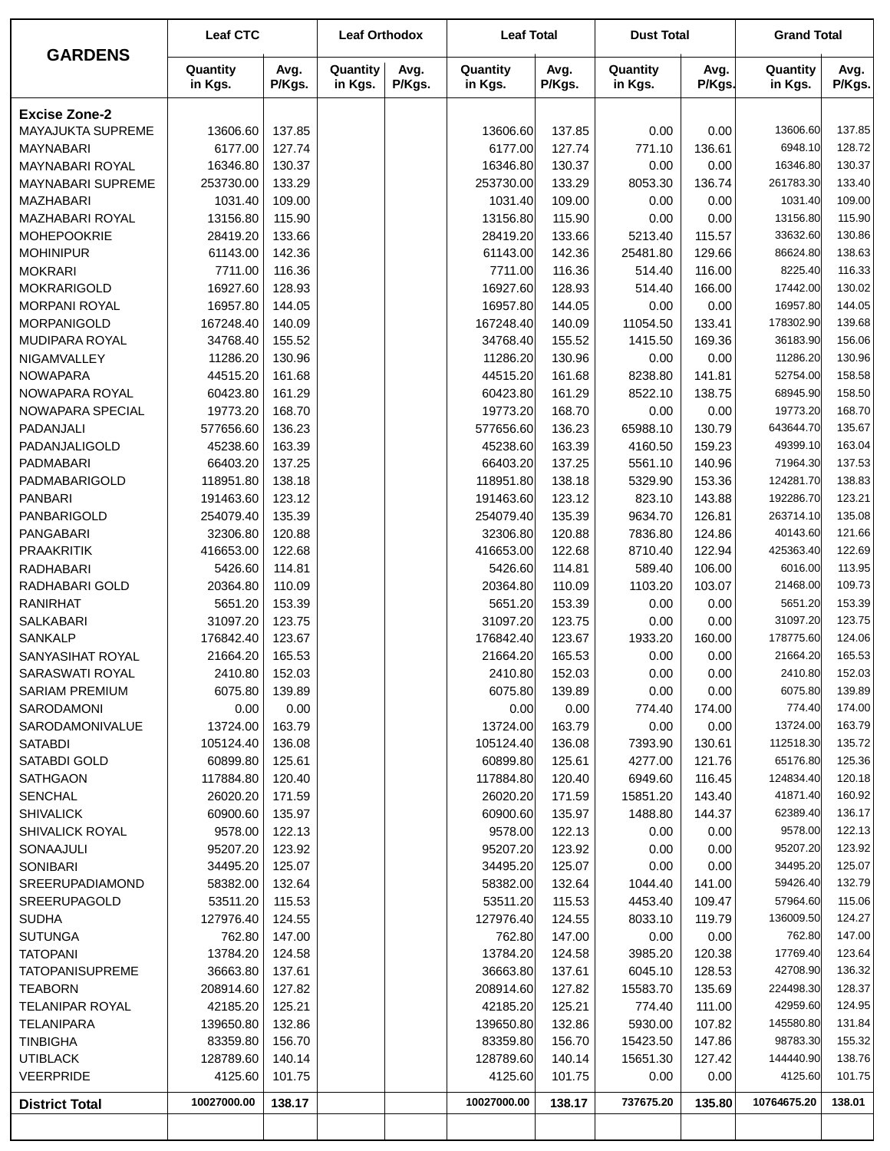| <b>GARDENS</b>                      | <b>Leaf CTC</b>       |                  | <b>Leaf Orthodox</b> |                | <b>Leaf Total</b>     |                  | <b>Dust Total</b>    |                  | <b>Grand Total</b>    |                  |
|-------------------------------------|-----------------------|------------------|----------------------|----------------|-----------------------|------------------|----------------------|------------------|-----------------------|------------------|
|                                     | Quantity<br>in Kgs.   | Avg.<br>P/Kgs.   | Quantity<br>in Kgs.  | Avg.<br>P/Kgs. | Quantity<br>in Kgs.   | Avg.<br>P/Kgs.   | Quantity<br>in Kgs.  | Avg.<br>P/Kgs.   | Quantity<br>in Kgs.   | Avg.<br>P/Kgs.   |
| <b>Excise Zone-2</b>                |                       |                  |                      |                |                       |                  |                      |                  |                       |                  |
| MAYAJUKTA SUPREME                   | 13606.60              | 137.85           |                      |                | 13606.60              | 137.85           | 0.00                 | 0.00             | 13606.60              | 137.85           |
| <b>MAYNABARI</b>                    | 6177.00               | 127.74           |                      |                | 6177.00               | 127.74           | 771.10               | 136.61           | 6948.10               | 128.72           |
| MAYNABARI ROYAL                     | 16346.80              | 130.37           |                      |                | 16346.80              | 130.37           | 0.00                 | 0.00             | 16346.80              | 130.37           |
| MAYNABARI SUPREME                   | 253730.00             | 133.29           |                      |                | 253730.00             | 133.29           | 8053.30              | 136.74           | 261783.30             | 133.40           |
| <b>MAZHABARI</b>                    | 1031.40               | 109.00           |                      |                | 1031.40               | 109.00           | 0.00                 | 0.00             | 1031.40               | 109.00           |
| MAZHABARI ROYAL                     | 13156.80              | 115.90           |                      |                | 13156.80              | 115.90           | 0.00                 | 0.00             | 13156.80              | 115.90           |
| MOHEPOOKRIE                         | 28419.20              | 133.66           |                      |                | 28419.20              | 133.66           | 5213.40              | 115.57           | 33632.60              | 130.86           |
| <b>MOHINIPUR</b>                    | 61143.00              | 142.36           |                      |                | 61143.00              | 142.36           | 25481.80             | 129.66           | 86624.80              | 138.63           |
| <b>MOKRARI</b>                      | 7711.00               | 116.36           |                      |                | 7711.00               | 116.36           | 514.40               | 116.00           | 8225.40               | 116.33           |
| <b>MOKRARIGOLD</b>                  | 16927.60              | 128.93<br>144.05 |                      |                | 16927.60              | 128.93           | 514.40               | 166.00           | 17442.00<br>16957.80  | 130.02<br>144.05 |
| <b>MORPANI ROYAL</b><br>MORPANIGOLD | 16957.80<br>167248.40 | 140.09           |                      |                | 16957.80<br>167248.40 | 144.05<br>140.09 | 0.00<br>11054.50     | 0.00<br>133.41   | 178302.90             | 139.68           |
| MUDIPARA ROYAL                      | 34768.40              | 155.52           |                      |                | 34768.40              | 155.52           | 1415.50              | 169.36           | 36183.90              | 156.06           |
| NIGAMVALLEY                         | 11286.20              | 130.96           |                      |                | 11286.20              | 130.96           | 0.00                 | 0.00             | 11286.20              | 130.96           |
| <b>NOWAPARA</b>                     | 44515.20              | 161.68           |                      |                | 44515.20              | 161.68           | 8238.80              | 141.81           | 52754.00              | 158.58           |
| NOWAPARA ROYAL                      | 60423.80              | 161.29           |                      |                | 60423.80              | 161.29           | 8522.10              | 138.75           | 68945.90              | 158.50           |
| NOWAPARA SPECIAL                    | 19773.20              | 168.70           |                      |                | 19773.20              | 168.70           | 0.00                 | 0.00             | 19773.20              | 168.70           |
| PADANJALI                           | 577656.60             | 136.23           |                      |                | 577656.60             | 136.23           | 65988.10             | 130.79           | 643644.70             | 135.67           |
| PADANJALIGOLD                       | 45238.60              | 163.39           |                      |                | 45238.60              | 163.39           | 4160.50              | 159.23           | 49399.10              | 163.04           |
| PADMABARI                           | 66403.20              | 137.25           |                      |                | 66403.20              | 137.25           | 5561.10              | 140.96           | 71964.30              | 137.53           |
| PADMABARIGOLD                       | 118951.80             | 138.18           |                      |                | 118951.80             | 138.18           | 5329.90              | 153.36           | 124281.70             | 138.83           |
| <b>PANBARI</b>                      | 191463.60             | 123.12           |                      |                | 191463.60             | 123.12           | 823.10               | 143.88           | 192286.70             | 123.21           |
| PANBARIGOLD                         | 254079.40             | 135.39           |                      |                | 254079.40             | 135.39           | 9634.70              | 126.81           | 263714.10             | 135.08           |
| PANGABARI                           | 32306.80              | 120.88           |                      |                | 32306.80              | 120.88           | 7836.80              | 124.86           | 40143.60              | 121.66           |
| <b>PRAAKRITIK</b>                   | 416653.00             | 122.68           |                      |                | 416653.00             | 122.68           | 8710.40              | 122.94           | 425363.40             | 122.69           |
| RADHABARI                           | 5426.60               | 114.81           |                      |                | 5426.60               | 114.81           | 589.40               | 106.00           | 6016.00               | 113.95           |
| RADHABARI GOLD                      | 20364.80              | 110.09           |                      |                | 20364.80              | 110.09           | 1103.20              | 103.07           | 21468.00              | 109.73           |
| <b>RANIRHAT</b>                     | 5651.20               | 153.39           |                      |                | 5651.20               | 153.39           | 0.00                 | 0.00             | 5651.20               | 153.39           |
| SALKABARI                           | 31097.20              | 123.75           |                      |                | 31097.20              | 123.75           | 0.00                 | 0.00             | 31097.20              | 123.75           |
| <b>SANKALP</b>                      | 176842.40             | 123.67           |                      |                | 176842.40             | 123.67           | 1933.20              | 160.00           | 178775.60             | 124.06           |
| SANYASIHAT ROYAL                    | 21664.20              | 165.53           |                      |                | 21664.20              | 165.53           | 0.00                 | 0.00             | 21664.20              | 165.53           |
| SARASWATI ROYAL                     | 2410.80               | 152.03           |                      |                | 2410.80               | 152.03           | 0.00                 | 0.00             | 2410.80               | 152.03           |
| <b>SARIAM PREMIUM</b><br>SARODAMONI | 6075.80               | 139.89           |                      |                | 6075.80               | 139.89           | 0.00                 | 0.00             | 6075.80<br>774.40     | 139.89<br>174.00 |
| SARODAMONIVALUE                     | 0.00<br>13724.00      | 0.00<br>163.79   |                      |                | 0.00<br>13724.00      | 0.00<br>163.79   | 774.40<br>0.00       | 174.00<br>0.00   | 13724.00              | 163.79           |
| <b>SATABDI</b>                      | 105124.40             | 136.08           |                      |                | 105124.40             | 136.08           | 7393.90              | 130.61           | 112518.30             | 135.72           |
| <b>SATABDI GOLD</b>                 | 60899.80              | 125.61           |                      |                | 60899.80              | 125.61           | 4277.00              | 121.76           | 65176.80              | 125.36           |
| <b>SATHGAON</b>                     | 117884.80             | 120.40           |                      |                | 117884.80             | 120.40           | 6949.60              | 116.45           | 124834.40             | 120.18           |
| <b>SENCHAL</b>                      | 26020.20              | 171.59           |                      |                | 26020.20              | 171.59           | 15851.20             | 143.40           | 41871.40              | 160.92           |
| <b>SHIVALICK</b>                    | 60900.60              | 135.97           |                      |                | 60900.60              | 135.97           | 1488.80              | 144.37           | 62389.40              | 136.17           |
| <b>SHIVALICK ROYAL</b>              | 9578.00               | 122.13           |                      |                | 9578.00               | 122.13           | 0.00                 | 0.00             | 9578.00               | 122.13           |
| SONAAJULI                           | 95207.20              | 123.92           |                      |                | 95207.20              | 123.92           | 0.00                 | 0.00             | 95207.20              | 123.92           |
| SONIBARI                            | 34495.20              | 125.07           |                      |                | 34495.20              | 125.07           | 0.00                 | 0.00             | 34495.20              | 125.07           |
| <b>SREERUPADIAMOND</b>              | 58382.00              | 132.64           |                      |                | 58382.00              | 132.64           | 1044.40              | 141.00           | 59426.40              | 132.79           |
| <b>SREERUPAGOLD</b>                 | 53511.20              | 115.53           |                      |                | 53511.20              | 115.53           | 4453.40              | 109.47           | 57964.60              | 115.06           |
| <b>SUDHA</b>                        | 127976.40             | 124.55           |                      |                | 127976.40             | 124.55           | 8033.10              | 119.79           | 136009.50             | 124.27           |
| <b>SUTUNGA</b>                      | 762.80                | 147.00           |                      |                | 762.80                | 147.00           | 0.00                 | 0.00             | 762.80                | 147.00           |
| <b>TATOPANI</b>                     | 13784.20              | 124.58           |                      |                | 13784.20              | 124.58           | 3985.20              | 120.38           | 17769.40              | 123.64           |
| <b>TATOPANISUPREME</b>              | 36663.80              | 137.61           |                      |                | 36663.80              | 137.61           | 6045.10              | 128.53           | 42708.90              | 136.32           |
| <b>TEABORN</b>                      | 208914.60             | 127.82           |                      |                | 208914.60             | 127.82           | 15583.70             | 135.69           | 224498.30             | 128.37           |
| <b>TELANIPAR ROYAL</b>              | 42185.20              | 125.21           |                      |                | 42185.20              | 125.21           | 774.40               | 111.00           | 42959.60              | 124.95           |
| TELANIPARA                          | 139650.80             | 132.86           |                      |                | 139650.80             | 132.86           | 5930.00              | 107.82           | 145580.80<br>98783.30 | 131.84<br>155.32 |
| <b>TINBIGHA</b><br><b>UTIBLACK</b>  | 83359.80<br>128789.60 | 156.70<br>140.14 |                      |                | 83359.80<br>128789.60 | 156.70<br>140.14 | 15423.50<br>15651.30 | 147.86<br>127.42 | 144440.90             | 138.76           |
| <b>VEERPRIDE</b>                    | 4125.60               | 101.75           |                      |                | 4125.60               | 101.75           | 0.00                 | 0.00             | 4125.60               | 101.75           |
|                                     |                       |                  |                      |                |                       |                  |                      |                  |                       |                  |
| <b>District Total</b>               | 10027000.00           | 138.17           |                      |                | 10027000.00           | 138.17           | 737675.20            | 135.80           | 10764675.20           | 138.01           |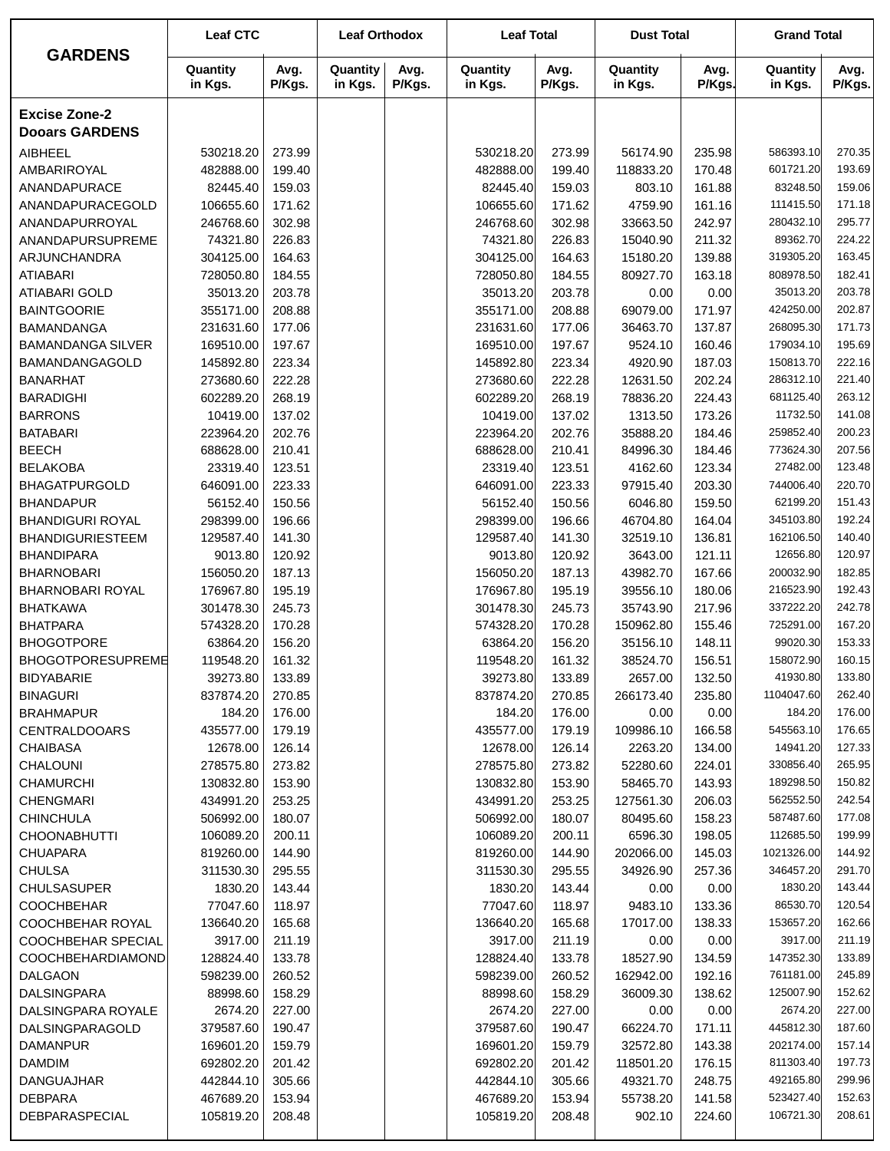|                                        | <b>Leaf CTC</b>        |                  | <b>Leaf Orthodox</b> |                | <b>Leaf Total</b>      |                  | <b>Dust Total</b>    |                  | <b>Grand Total</b>     |                  |
|----------------------------------------|------------------------|------------------|----------------------|----------------|------------------------|------------------|----------------------|------------------|------------------------|------------------|
| <b>GARDENS</b>                         | Quantity<br>in Kgs.    | Avg.<br>P/Kgs.   | Quantity<br>in Kgs.  | Avg.<br>P/Kgs. | Quantity<br>in Kgs.    | Avg.<br>P/Kgs.   | Quantity<br>in Kgs.  | Avg.<br>P/Kgs.   | Quantity<br>in Kgs.    | Avg.<br>P/Kgs.   |
| <b>Excise Zone-2</b>                   |                        |                  |                      |                |                        |                  |                      |                  |                        |                  |
| <b>Dooars GARDENS</b>                  |                        |                  |                      |                |                        |                  |                      |                  |                        |                  |
| <b>AIBHEEL</b>                         | 530218.20              | 273.99           |                      |                | 530218.20              | 273.99           | 56174.90             | 235.98           | 586393.10              | 270.35           |
| AMBARIROYAL                            | 482888.00              | 199.40           |                      |                | 482888.00              | 199.40           | 118833.20            | 170.48           | 601721.20              | 193.69           |
| ANANDAPURACE                           | 82445.40               | 159.03           |                      |                | 82445.40               | 159.03           | 803.10               | 161.88           | 83248.50               | 159.06           |
| ANANDAPURACEGOLD                       | 106655.60              | 171.62           |                      |                | 106655.60              | 171.62           | 4759.90              | 161.16           | 111415.50              | 171.18           |
| ANANDAPURROYAL                         | 246768.60              | 302.98           |                      |                | 246768.60              | 302.98           | 33663.50             | 242.97           | 280432.10              | 295.77           |
| ANANDAPURSUPREME                       | 74321.80               | 226.83           |                      |                | 74321.80               | 226.83           | 15040.90             | 211.32           | 89362.70               | 224.22           |
| ARJUNCHANDRA                           | 304125.00              | 164.63           |                      |                | 304125.00              | 164.63           | 15180.20             | 139.88           | 319305.20              | 163.45           |
| <b>ATIABARI</b>                        | 728050.80              | 184.55           |                      |                | 728050.80              | 184.55           | 80927.70             | 163.18           | 808978.50              | 182.41           |
| <b>ATIABARI GOLD</b>                   | 35013.20               | 203.78           |                      |                | 35013.20               | 203.78           | 0.00                 | 0.00             | 35013.20               | 203.78           |
| <b>BAINTGOORIE</b>                     | 355171.00              | 208.88           |                      |                | 355171.00              | 208.88           | 69079.00             | 171.97           | 424250.00              | 202.87           |
| <b>BAMANDANGA</b>                      | 231631.60              | 177.06           |                      |                | 231631.60              | 177.06           | 36463.70             | 137.87           | 268095.30              | 171.73           |
| <b>BAMANDANGA SILVER</b>               | 169510.00              | 197.67           |                      |                | 169510.00              | 197.67           | 9524.10              | 160.46           | 179034.10              | 195.69           |
| BAMANDANGAGOLD                         | 145892.80              | 223.34           |                      |                | 145892.80              | 223.34           | 4920.90              | 187.03           | 150813.70              | 222.16           |
| <b>BANARHAT</b>                        | 273680.60              | 222.28           |                      |                | 273680.60              | 222.28           | 12631.50             | 202.24           | 286312.10              | 221.40           |
| <b>BARADIGHI</b>                       | 602289.20              | 268.19           |                      |                | 602289.20              | 268.19           | 78836.20             | 224.43           | 681125.40              | 263.12           |
| <b>BARRONS</b>                         | 10419.00               | 137.02           |                      |                | 10419.00               | 137.02           | 1313.50              | 173.26           | 11732.50               | 141.08           |
| <b>BATABARI</b>                        | 223964.20              | 202.76           |                      |                | 223964.20              | 202.76           | 35888.20             | 184.46           | 259852.40              | 200.23           |
| <b>BEECH</b>                           | 688628.00              | 210.41           |                      |                | 688628.00              | 210.41           | 84996.30             | 184.46           | 773624.30              | 207.56           |
| <b>BELAKOBA</b>                        | 23319.40               | 123.51           |                      |                | 23319.40               | 123.51           | 4162.60              | 123.34           | 27482.00               | 123.48           |
| <b>BHAGATPURGOLD</b>                   | 646091.00              | 223.33           |                      |                | 646091.00              | 223.33           | 97915.40             | 203.30           | 744006.40              | 220.70           |
| <b>BHANDAPUR</b>                       | 56152.40               | 150.56           |                      |                | 56152.40               | 150.56           | 6046.80              | 159.50           | 62199.20               | 151.43           |
| <b>BHANDIGURI ROYAL</b>                | 298399.00              | 196.66           |                      |                | 298399.00              | 196.66           | 46704.80             | 164.04           | 345103.80              | 192.24           |
| <b>BHANDIGURIESTEEM</b>                | 129587.40              | 141.30           |                      |                | 129587.40              | 141.30           | 32519.10             | 136.81           | 162106.50<br>12656.80  | 140.40<br>120.97 |
| <b>BHANDIPARA</b><br><b>BHARNOBARI</b> | 9013.80<br>156050.20   | 120.92<br>187.13 |                      |                | 9013.80<br>156050.20   | 120.92<br>187.13 | 3643.00<br>43982.70  | 121.11<br>167.66 | 200032.90              | 182.85           |
| BHARNOBARI ROYAL                       | 176967.80              | 195.19           |                      |                | 176967.80              | 195.19           | 39556.10             | 180.06           | 216523.90              | 192.43           |
| <b>BHATKAWA</b>                        | 301478.30              | 245.73           |                      |                | 301478.30              | 245.73           | 35743.90             | 217.96           | 337222.20              | 242.78           |
| <b>BHATPARA</b>                        | 574328.20              | 170.28           |                      |                | 574328.20              | 170.28           | 150962.80            | 155.46           | 725291.00              | 167.20           |
| <b>BHOGOTPORE</b>                      | 63864.20               | 156.20           |                      |                | 63864.20               | 156.20           | 35156.10             | 148.11           | 99020.30               | 153.33           |
| <b>BHOGOTPORESUPREME</b>               | 119548.20              | 161.32           |                      |                | 119548.20              | 161.32           | 38524.70             | 156.51           | 158072.90              | 160.15           |
| <b>BIDYABARIE</b>                      | 39273.80               | 133.89           |                      |                | 39273.80               | 133.89           | 2657.00              | 132.50           | 41930.80               | 133.80           |
| <b>BINAGURI</b>                        | 837874.20              | 270.85           |                      |                | 837874.20              | 270.85           | 266173.40            | 235.80           | 1104047.60             | 262.40           |
| <b>BRAHMAPUR</b>                       | 184.20                 | 176.00           |                      |                | 184.20                 | 176.00           | 0.00                 | 0.00             | 184.20                 | 176.00           |
| <b>CENTRALDOOARS</b>                   | 435577.00              | 179.19           |                      |                | 435577.00              | 179.19           | 109986.10            | 166.58           | 545563.10              | 176.65           |
| <b>CHAIBASA</b>                        | 12678.00               | 126.14           |                      |                | 12678.00               | 126.14           | 2263.20              | 134.00           | 14941.20               | 127.33           |
| CHALOUNI                               | 278575.80              | 273.82           |                      |                | 278575.80              | 273.82           | 52280.60             | 224.01           | 330856.40              | 265.95           |
| <b>CHAMURCHI</b>                       | 130832.80              | 153.90           |                      |                | 130832.80              | 153.90           | 58465.70             | 143.93           | 189298.50              | 150.82           |
| <b>CHENGMARI</b>                       | 434991.20              | 253.25           |                      |                | 434991.20              | 253.25           | 127561.30            | 206.03           | 562552.50              | 242.54           |
| <b>CHINCHULA</b>                       | 506992.00              | 180.07           |                      |                | 506992.00              | 180.07           | 80495.60             | 158.23           | 587487.60              | 177.08           |
| <b>CHOONABHUTTI</b>                    | 106089.20              | 200.11           |                      |                | 106089.20              | 200.11           | 6596.30              | 198.05           | 112685.50              | 199.99           |
| <b>CHUAPARA</b>                        | 819260.00              | 144.90           |                      |                | 819260.00              | 144.90           | 202066.00            | 145.03           | 1021326.00             | 144.92           |
| <b>CHULSA</b>                          | 311530.30              | 295.55           |                      |                | 311530.30              | 295.55           | 34926.90             | 257.36           | 346457.20              | 291.70           |
| <b>CHULSASUPER</b>                     | 1830.20                | 143.44           |                      |                | 1830.20                | 143.44           | 0.00                 | 0.00             | 1830.20                | 143.44           |
| <b>COOCHBEHAR</b>                      | 77047.60               | 118.97           |                      |                | 77047.60               | 118.97           | 9483.10              | 133.36           | 86530.70               | 120.54           |
| COOCHBEHAR ROYAL                       | 136640.20              | 165.68           |                      |                | 136640.20              | 165.68           | 17017.00             | 138.33           | 153657.20              | 162.66           |
| COOCHBEHAR SPECIAL                     | 3917.00                | 211.19           |                      |                | 3917.00                | 211.19           | 0.00                 | 0.00             | 3917.00                | 211.19           |
| COOCHBEHARDIAMOND                      | 128824.40              | 133.78           |                      |                | 128824.40              | 133.78           | 18527.90             | 134.59           | 147352.30              | 133.89           |
| DALGAON                                | 598239.00              | 260.52           |                      |                | 598239.00              | 260.52           | 162942.00            | 192.16           | 761181.00              | 245.89           |
| <b>DALSINGPARA</b>                     | 88998.60               | 158.29           |                      |                | 88998.60               | 158.29           | 36009.30             | 138.62           | 125007.90              | 152.62           |
| DALSINGPARA ROYALE                     | 2674.20                | 227.00           |                      |                | 2674.20                | 227.00           | 0.00                 | 0.00             | 2674.20                | 227.00           |
| DALSINGPARAGOLD                        | 379587.60              | 190.47           |                      |                | 379587.60              | 190.47           | 66224.70             | 171.11           | 445812.30              | 187.60           |
| <b>DAMANPUR</b>                        | 169601.20              | 159.79           |                      |                | 169601.20              | 159.79           | 32572.80             | 143.38           | 202174.00              | 157.14           |
| <b>DAMDIM</b>                          | 692802.20              | 201.42           |                      |                | 692802.20              | 201.42           | 118501.20            | 176.15           | 811303.40              | 197.73<br>299.96 |
| DANGUAJHAR<br><b>DEBPARA</b>           | 442844.10<br>467689.20 | 305.66<br>153.94 |                      |                | 442844.10<br>467689.20 | 305.66<br>153.94 | 49321.70<br>55738.20 | 248.75<br>141.58 | 492165.80<br>523427.40 | 152.63           |
| DEBPARASPECIAL                         | 105819.20              | 208.48           |                      |                | 105819.20              | 208.48           | 902.10               | 224.60           | 106721.30              | 208.61           |
|                                        |                        |                  |                      |                |                        |                  |                      |                  |                        |                  |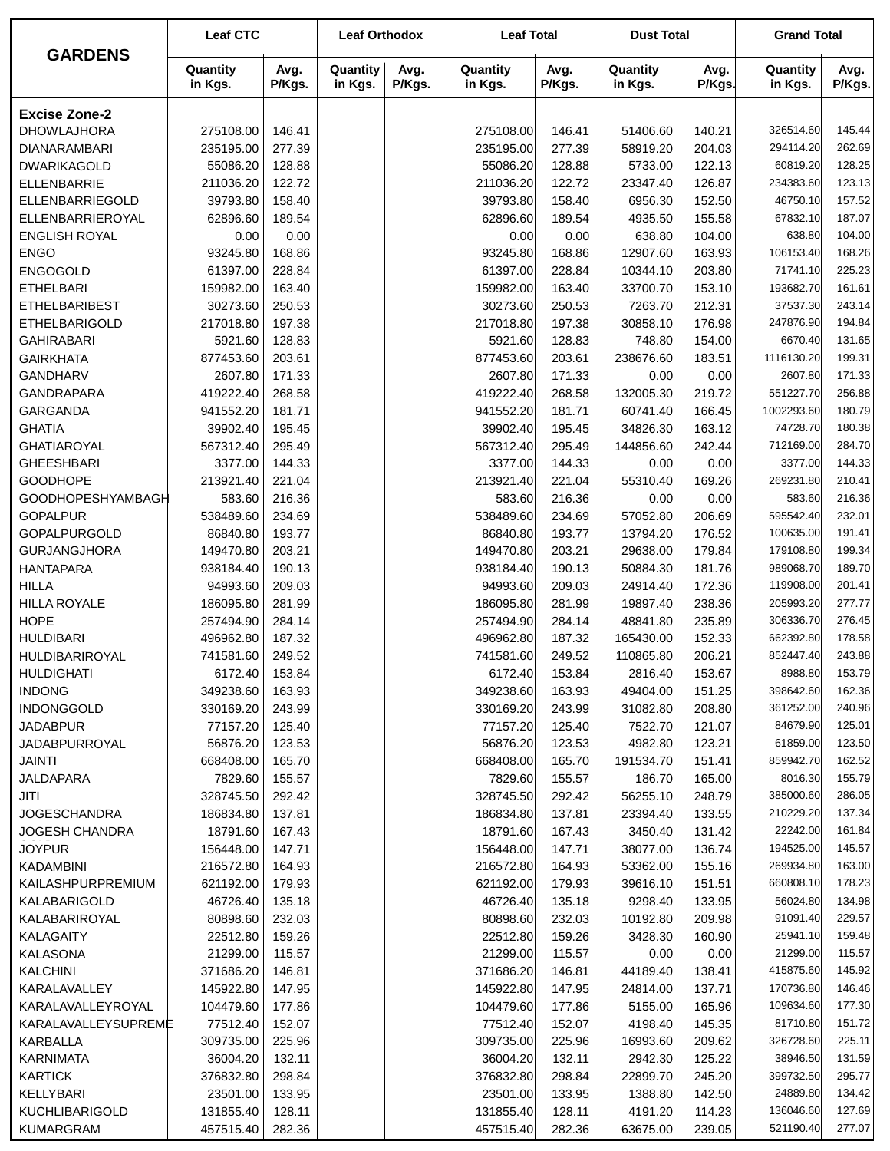|                          | <b>Leaf CTC</b>     |                | <b>Leaf Orthodox</b> |                | <b>Leaf Total</b>   |                | <b>Dust Total</b>   |                | <b>Grand Total</b>  |                |
|--------------------------|---------------------|----------------|----------------------|----------------|---------------------|----------------|---------------------|----------------|---------------------|----------------|
| <b>GARDENS</b>           | Quantity<br>in Kgs. | Avg.<br>P/Kgs. | Quantity<br>in Kgs.  | Avg.<br>P/Kgs. | Quantity<br>in Kgs. | Avg.<br>P/Kgs. | Quantity<br>in Kgs. | Avg.<br>P/Kgs. | Quantity<br>in Kgs. | Avg.<br>P/Kgs. |
| <b>Excise Zone-2</b>     |                     |                |                      |                |                     |                |                     |                |                     |                |
| <b>DHOWLAJHORA</b>       | 275108.00           | 146.41         |                      |                | 275108.00           | 146.41         | 51406.60            | 140.21         | 326514.60           | 145.44         |
| <b>DIANARAMBARI</b>      | 235195.00           | 277.39         |                      |                | 235195.00           | 277.39         | 58919.20            | 204.03         | 294114.20           | 262.69         |
| <b>DWARIKAGOLD</b>       | 55086.20            | 128.88         |                      |                | 55086.20            | 128.88         | 5733.00             | 122.13         | 60819.20            | 128.25         |
| <b>ELLENBARRIE</b>       | 211036.20           | 122.72         |                      |                | 211036.20           | 122.72         | 23347.40            | 126.87         | 234383.60           | 123.13         |
| ELLENBARRIEGOLD          | 39793.80            | 158.40         |                      |                | 39793.80            | 158.40         | 6956.30             | 152.50         | 46750.10            | 157.52         |
| ELLENBARRIEROYAL         | 62896.60            | 189.54         |                      |                | 62896.60            | 189.54         | 4935.50             | 155.58         | 67832.10            | 187.07         |
| <b>ENGLISH ROYAL</b>     | 0.00                | 0.00           |                      |                | 0.00                | 0.00           | 638.80              | 104.00         | 638.80              | 104.00         |
| <b>ENGO</b>              | 93245.80            | 168.86         |                      |                | 93245.80            | 168.86         | 12907.60            | 163.93         | 106153.40           | 168.26         |
| <b>ENGOGOLD</b>          | 61397.00            | 228.84         |                      |                | 61397.00            | 228.84         | 10344.10            | 203.80         | 71741.10            | 225.23         |
| <b>ETHELBARI</b>         | 159982.00           | 163.40         |                      |                | 159982.00           | 163.40         | 33700.70            | 153.10         | 193682.70           | 161.61         |
| <b>ETHELBARIBEST</b>     | 30273.60            | 250.53         |                      |                | 30273.60            | 250.53         | 7263.70             | 212.31         | 37537.30            | 243.14         |
| <b>ETHELBARIGOLD</b>     | 217018.80           | 197.38         |                      |                | 217018.80           | 197.38         | 30858.10            | 176.98         | 247876.90           | 194.84         |
| <b>GAHIRABARI</b>        | 5921.60             | 128.83         |                      |                | 5921.60             | 128.83         | 748.80              | 154.00         | 6670.40             | 131.65         |
| <b>GAIRKHATA</b>         | 877453.60           | 203.61         |                      |                | 877453.60           | 203.61         | 238676.60           | 183.51         | 1116130.20          | 199.31         |
| <b>GANDHARV</b>          | 2607.80             | 171.33         |                      |                | 2607.80             | 171.33         | 0.00                | 0.00           | 2607.80             | 171.33         |
| <b>GANDRAPARA</b>        | 419222.40           | 268.58         |                      |                | 419222.40           | 268.58         | 132005.30           | 219.72         | 551227.70           | 256.88         |
| GARGANDA                 | 941552.20           | 181.71         |                      |                | 941552.20           | 181.71         | 60741.40            | 166.45         | 1002293.60          | 180.79         |
| <b>GHATIA</b>            | 39902.40            | 195.45         |                      |                | 39902.40            | 195.45         | 34826.30            | 163.12         | 74728.70            | 180.38         |
| <b>GHATIAROYAL</b>       | 567312.40           | 295.49         |                      |                | 567312.40           | 295.49         | 144856.60           | 242.44         | 712169.00           | 284.70         |
| <b>GHEESHBARI</b>        | 3377.00             | 144.33         |                      |                | 3377.00             | 144.33         | 0.00                | 0.00           | 3377.00             | 144.33         |
| <b>GOODHOPE</b>          | 213921.40           | 221.04         |                      |                | 213921.40           | 221.04         | 55310.40            | 169.26         | 269231.80           | 210.41         |
| <b>GOODHOPESHYAMBAGH</b> | 583.60              | 216.36         |                      |                | 583.60              | 216.36         | 0.00                | 0.00           | 583.60              | 216.36         |
| <b>GOPALPUR</b>          | 538489.60           | 234.69         |                      |                | 538489.60           | 234.69         | 57052.80            | 206.69         | 595542.40           | 232.01         |
| <b>GOPALPURGOLD</b>      | 86840.80            | 193.77         |                      |                | 86840.80            | 193.77         | 13794.20            | 176.52         | 100635.00           | 191.41         |
| <b>GURJANGJHORA</b>      | 149470.80           | 203.21         |                      |                | 149470.80           | 203.21         | 29638.00            | 179.84         | 179108.80           | 199.34         |
| <b>HANTAPARA</b>         | 938184.40           | 190.13         |                      |                | 938184.40           | 190.13         | 50884.30            | 181.76         | 989068.70           | 189.70         |
| <b>HILLA</b>             | 94993.60            | 209.03         |                      |                | 94993.60            | 209.03         | 24914.40            | 172.36         | 119908.00           | 201.41         |
| <b>HILLA ROYALE</b>      | 186095.80           | 281.99         |                      |                | 186095.80           | 281.99         | 19897.40            | 238.36         | 205993.20           | 277.77         |
| <b>HOPE</b>              | 257494.90           | 284.14         |                      |                | 257494.90           | 284.14         | 48841.80            | 235.89         | 306336.70           | 276.45         |
| <b>HULDIBARI</b>         | 496962.80           | 187.32         |                      |                | 496962.80           | 187.32         | 165430.00           | 152.33         | 662392.80           | 178.58         |
| HULDIBARIROYAL           | 741581.60           | 249.52         |                      |                | 741581.60           | 249.52         | 110865.80           | 206.21         | 852447.40           | 243.88         |
| <b>HULDIGHATI</b>        | 6172.40             | 153.84         |                      |                | 6172.40             | 153.84         | 2816.40             | 153.67         | 8988.80             | 153.79         |
| <b>INDONG</b>            | 349238.60           | 163.93         |                      |                | 349238.60           | 163.93         | 49404.00            | 151.25         | 398642.60           | 162.36         |
| <b>INDONGGOLD</b>        | 330169.20           | 243.99         |                      |                | 330169.20           | 243.99         | 31082.80            | 208.80         | 361252.00           | 240.96         |
| <b>JADABPUR</b>          | 77157.20            | 125.40         |                      |                | 77157.20            | 125.40         | 7522.70             | 121.07         | 84679.90            | 125.01         |
| <b>JADABPURROYAL</b>     | 56876.20            | 123.53         |                      |                | 56876.20            | 123.53         | 4982.80             | 123.21         | 61859.00            | 123.50         |
| JAINTI                   | 668408.00           | 165.70         |                      |                | 668408.00           | 165.70         | 191534.70           | 151.41         | 859942.70           | 162.52         |
| JALDAPARA                | 7829.60             | 155.57         |                      |                | 7829.60             | 155.57         | 186.70              | 165.00         | 8016.30             | 155.79         |
| JITI                     | 328745.50           | 292.42         |                      |                | 328745.50           | 292.42         | 56255.10            | 248.79         | 385000.60           | 286.05         |
| <b>JOGESCHANDRA</b>      | 186834.80           | 137.81         |                      |                | 186834.80           | 137.81         | 23394.40            | 133.55         | 210229.20           | 137.34         |
| JOGESH CHANDRA           | 18791.60            | 167.43         |                      |                | 18791.60            | 167.43         | 3450.40             | 131.42         | 22242.00            | 161.84         |
| <b>JOYPUR</b>            | 156448.00           | 147.71         |                      |                | 156448.00           | 147.71         | 38077.00            | 136.74         | 194525.00           | 145.57         |
| KADAMBINI                | 216572.80           | 164.93         |                      |                | 216572.80           | 164.93         | 53362.00            | 155.16         | 269934.80           | 163.00         |
| KAILASHPURPREMIUM        | 621192.00           | 179.93         |                      |                | 621192.00           | 179.93         | 39616.10            | 151.51         | 660808.10           | 178.23         |
| KALABARIGOLD             | 46726.40            | 135.18         |                      |                | 46726.40            | 135.18         | 9298.40             | 133.95         | 56024.80            | 134.98         |
| KALABARIROYAL            | 80898.60            | 232.03         |                      |                | 80898.60            | 232.03         | 10192.80            | 209.98         | 91091.40            | 229.57         |
| KALAGAITY                | 22512.80            | 159.26         |                      |                | 22512.80            | 159.26         | 3428.30             | 160.90         | 25941.10            | 159.48         |
| KALASONA                 | 21299.00            | 115.57         |                      |                | 21299.00            | 115.57         | 0.00                | 0.00           | 21299.00            | 115.57         |
| <b>KALCHINI</b>          | 371686.20           | 146.81         |                      |                | 371686.20           | 146.81         | 44189.40            | 138.41         | 415875.60           | 145.92         |
| KARALAVALLEY             | 145922.80           | 147.95         |                      |                | 145922.80           | 147.95         | 24814.00            | 137.71         | 170736.80           | 146.46         |
| KARALAVALLEYROYAL        | 104479.60           | 177.86         |                      |                | 104479.60           | 177.86         | 5155.00             | 165.96         | 109634.60           | 177.30         |
| KARALAVALLEYSUPREME      | 77512.40            | 152.07         |                      |                | 77512.40            | 152.07         | 4198.40             | 145.35         | 81710.80            | 151.72         |
| KARBALLA                 | 309735.00           | 225.96         |                      |                | 309735.00           | 225.96         | 16993.60            | 209.62         | 326728.60           | 225.11         |
| <b>KARNIMATA</b>         | 36004.20            | 132.11         |                      |                | 36004.20            | 132.11         | 2942.30             | 125.22         | 38946.50            | 131.59         |
| <b>KARTICK</b>           | 376832.80           | 298.84         |                      |                | 376832.80           | 298.84         | 22899.70            | 245.20         | 399732.50           | 295.77         |
| KELLYBARI                | 23501.00            | 133.95         |                      |                | 23501.00            | 133.95         | 1388.80             | 142.50         | 24889.80            | 134.42         |
| <b>KUCHLIBARIGOLD</b>    | 131855.40           | 128.11         |                      |                | 131855.40           | 128.11         | 4191.20             | 114.23         | 136046.60           | 127.69         |
| KUMARGRAM                | 457515.40           | 282.36         |                      |                | 457515.40           | 282.36         | 63675.00            | 239.05         | 521190.40           | 277.07         |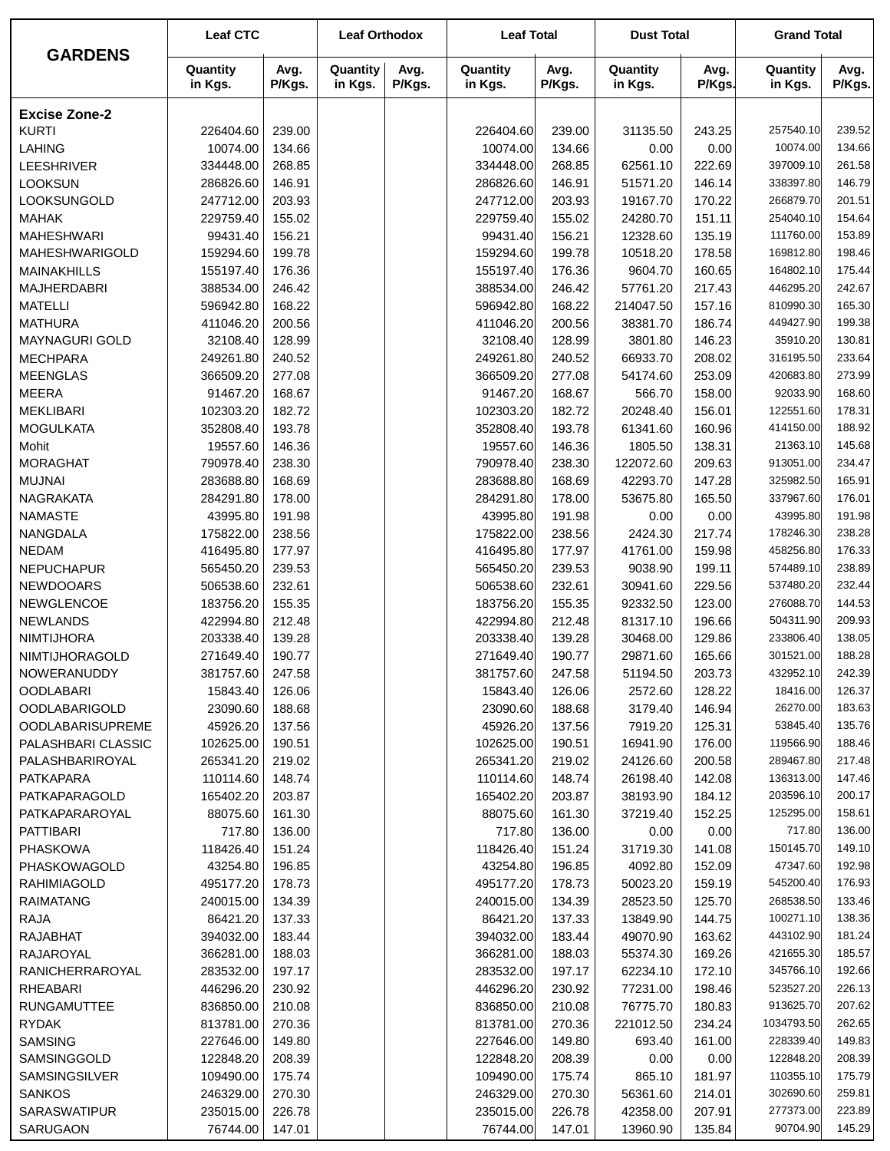|                         | <b>Leaf CTC</b>     |                | <b>Leaf Orthodox</b> |                | <b>Leaf Total</b>   |                | <b>Dust Total</b>   |                | <b>Grand Total</b>  |                |
|-------------------------|---------------------|----------------|----------------------|----------------|---------------------|----------------|---------------------|----------------|---------------------|----------------|
| <b>GARDENS</b>          | Quantity<br>in Kgs. | Avg.<br>P/Kgs. | Quantity<br>in Kgs.  | Avg.<br>P/Kgs. | Quantity<br>in Kgs. | Avg.<br>P/Kgs. | Quantity<br>in Kgs. | Avg.<br>P/Kgs. | Quantity<br>in Kgs. | Avg.<br>P/Kgs. |
| <b>Excise Zone-2</b>    |                     |                |                      |                |                     |                |                     |                |                     |                |
| <b>KURTI</b>            | 226404.60           | 239.00         |                      |                | 226404.60           | 239.00         | 31135.50            | 243.25         | 257540.10           | 239.52         |
| <b>LAHING</b>           | 10074.00            | 134.66         |                      |                | 10074.00            | 134.66         | 0.00                | 0.00           | 10074.00            | 134.66         |
| <b>LEESHRIVER</b>       | 334448.00           | 268.85         |                      |                | 334448.00           | 268.85         | 62561.10            | 222.69         | 397009.10           | 261.58         |
| <b>LOOKSUN</b>          | 286826.60           | 146.91         |                      |                | 286826.60           | 146.91         | 51571.20            | 146.14         | 338397.80           | 146.79         |
| LOOKSUNGOLD             | 247712.00           | 203.93         |                      |                | 247712.00           | 203.93         | 19167.70            | 170.22         | 266879.70           | 201.51         |
| <b>MAHAK</b>            | 229759.40           | 155.02         |                      |                | 229759.40           | 155.02         | 24280.70            | 151.11         | 254040.10           | 154.64         |
| <b>MAHESHWARI</b>       | 99431.40            | 156.21         |                      |                | 99431.40            | 156.21         | 12328.60            | 135.19         | 111760.00           | 153.89         |
| MAHESHWARIGOLD          | 159294.60           | 199.78         |                      |                | 159294.60           | 199.78         | 10518.20            | 178.58         | 169812.80           | 198.46         |
| <b>MAINAKHILLS</b>      | 155197.40           | 176.36         |                      |                | 155197.40           | 176.36         | 9604.70             | 160.65         | 164802.10           | 175.44         |
| <b>MAJHERDABRI</b>      | 388534.00           | 246.42         |                      |                | 388534.00           | 246.42         | 57761.20            | 217.43         | 446295.20           | 242.67         |
| <b>MATELLI</b>          | 596942.80           | 168.22         |                      |                | 596942.80           | 168.22         | 214047.50           | 157.16         | 810990.30           | 165.30         |
| <b>MATHURA</b>          | 411046.20           | 200.56         |                      |                | 411046.20           | 200.56         | 38381.70            | 186.74         | 449427.90           | 199.38         |
| <b>MAYNAGURI GOLD</b>   | 32108.40            | 128.99         |                      |                | 32108.40            | 128.99         | 3801.80             | 146.23         | 35910.20            | 130.81         |
| <b>MECHPARA</b>         | 249261.80           | 240.52         |                      |                | 249261.80           | 240.52         | 66933.70            | 208.02         | 316195.50           | 233.64         |
| <b>MEENGLAS</b>         | 366509.20           | 277.08         |                      |                | 366509.20           | 277.08         | 54174.60            | 253.09         | 420683.80           | 273.99         |
| <b>MEERA</b>            | 91467.20            | 168.67         |                      |                | 91467.20            | 168.67         | 566.70              | 158.00         | 92033.90            | 168.60         |
| <b>MEKLIBARI</b>        | 102303.20           | 182.72         |                      |                | 102303.20           | 182.72         | 20248.40            | 156.01         | 122551.60           | 178.31         |
| <b>MOGULKATA</b>        | 352808.40           | 193.78         |                      |                | 352808.40           | 193.78         | 61341.60            | 160.96         | 414150.00           | 188.92         |
| Mohit                   | 19557.60            | 146.36         |                      |                | 19557.60            | 146.36         | 1805.50             | 138.31         | 21363.10            | 145.68         |
| <b>MORAGHAT</b>         | 790978.40           | 238.30         |                      |                | 790978.40           | 238.30         | 122072.60           | 209.63         | 913051.00           | 234.47         |
| <b>MUJNAI</b>           | 283688.80           | 168.69         |                      |                | 283688.80           | 168.69         | 42293.70            | 147.28         | 325982.50           | 165.91         |
| <b>NAGRAKATA</b>        | 284291.80           | 178.00         |                      |                | 284291.80           | 178.00         | 53675.80            | 165.50         | 337967.60           | 176.01         |
| <b>NAMASTE</b>          | 43995.80            | 191.98         |                      |                | 43995.80            | 191.98         | 0.00                | 0.00           | 43995.80            | 191.98         |
| NANGDALA                | 175822.00           | 238.56         |                      |                | 175822.00           | 238.56         | 2424.30             | 217.74         | 178246.30           | 238.28         |
| <b>NEDAM</b>            | 416495.80           | 177.97         |                      |                | 416495.80           | 177.97         | 41761.00            | 159.98         | 458256.80           | 176.33         |
| <b>NEPUCHAPUR</b>       | 565450.20           | 239.53         |                      |                | 565450.20           | 239.53         | 9038.90             | 199.11         | 574489.10           | 238.89         |
| <b>NEWDOOARS</b>        | 506538.60           | 232.61         |                      |                | 506538.60           | 232.61         | 30941.60            | 229.56         | 537480.20           | 232.44         |
| <b>NEWGLENCOE</b>       | 183756.20           | 155.35         |                      |                | 183756.20           | 155.35         | 92332.50            | 123.00         | 276088.70           | 144.53         |
| <b>NEWLANDS</b>         | 422994.80           | 212.48         |                      |                | 422994.80           | 212.48         | 81317.10            | 196.66         | 504311.90           | 209.93         |
| <b>NIMTIJHORA</b>       | 203338.40           | 139.28         |                      |                | 203338.40           | 139.28         | 30468.00            | 129.86         | 233806.40           | 138.05         |
| NIMTIJHORAGOLD          | 271649.40           | 190.77         |                      |                | 271649.40           | 190.77         | 29871.60            | 165.66         | 301521.00           | 188.28         |
| NOWERANUDDY             | 381757.60           | 247.58         |                      |                | 381757.60           | 247.58         | 51194.50            | 203.73         | 432952.10           | 242.39         |
| <b>OODLABARI</b>        | 15843.40            | 126.06         |                      |                | 15843.40            | 126.06         | 2572.60             | 128.22         | 18416.00            | 126.37         |
| <b>OODLABARIGOLD</b>    | 23090.60            | 188.68         |                      |                | 23090.60            | 188.68         | 3179.40             | 146.94         | 26270.00            | 183.63         |
| <b>OODLABARISUPREME</b> | 45926.20            | 137.56         |                      |                | 45926.20            | 137.56         | 7919.20             | 125.31         | 53845.40            | 135.76         |
| PALASHBARI CLASSIC      | 102625.00           | 190.51         |                      |                | 102625.00           | 190.51         | 16941.90            | 176.00         | 119566.90           | 188.46         |
| PALASHBARIROYAL         | 265341.20           | 219.02         |                      |                | 265341.20           | 219.02         | 24126.60            | 200.58         | 289467.80           | 217.48         |
| <b>PATKAPARA</b>        | 110114.60           | 148.74         |                      |                | 110114.60           | 148.74         | 26198.40            | 142.08         | 136313.00           | 147.46         |
| <b>PATKAPARAGOLD</b>    | 165402.20           | 203.87         |                      |                | 165402.20           | 203.87         | 38193.90            | 184.12         | 203596.10           | 200.17         |
| PATKAPARAROYAL          | 88075.60            | 161.30         |                      |                | 88075.60            | 161.30         | 37219.40            | 152.25         | 125295.00           | 158.61         |
| <b>PATTIBARI</b>        | 717.80              | 136.00         |                      |                | 717.80              | 136.00         | 0.00                | 0.00           | 717.80              | 136.00         |
| <b>PHASKOWA</b>         | 118426.40           | 151.24         |                      |                | 118426.40           | 151.24         | 31719.30            | 141.08         | 150145.70           | 149.10         |
| PHASKOWAGOLD            | 43254.80            | 196.85         |                      |                | 43254.80            | 196.85         | 4092.80             | 152.09         | 47347.60            | 192.98         |
| <b>RAHIMIAGOLD</b>      | 495177.20           | 178.73         |                      |                | 495177.20           | 178.73         | 50023.20            | 159.19         | 545200.40           | 176.93         |
| <b>RAIMATANG</b>        | 240015.00           | 134.39         |                      |                | 240015.00           | 134.39         | 28523.50            | 125.70         | 268538.50           | 133.46         |
| <b>RAJA</b>             | 86421.20            | 137.33         |                      |                | 86421.20            | 137.33         | 13849.90            | 144.75         | 100271.10           | 138.36         |
| <b>RAJABHAT</b>         | 394032.00           | 183.44         |                      |                | 394032.00           | 183.44         | 49070.90            | 163.62         | 443102.90           | 181.24         |
| RAJAROYAL               | 366281.00           | 188.03         |                      |                | 366281.00           | 188.03         | 55374.30            | 169.26         | 421655.30           | 185.57         |
| RANICHERRAROYAL         | 283532.00           | 197.17         |                      |                | 283532.00           | 197.17         | 62234.10            | 172.10         | 345766.10           | 192.66         |
| <b>RHEABARI</b>         | 446296.20           | 230.92         |                      |                | 446296.20           | 230.92         | 77231.00            | 198.46         | 523527.20           | 226.13         |
| RUNGAMUTTEE             | 836850.00           | 210.08         |                      |                | 836850.00           | 210.08         | 76775.70            | 180.83         | 913625.70           | 207.62         |
| <b>RYDAK</b>            | 813781.00           | 270.36         |                      |                | 813781.00           | 270.36         | 221012.50           | 234.24         | 1034793.50          | 262.65         |
| <b>SAMSING</b>          | 227646.00           | 149.80         |                      |                | 227646.00           | 149.80         | 693.40              | 161.00         | 228339.40           | 149.83         |
| SAMSINGGOLD             | 122848.20           | 208.39         |                      |                | 122848.20           | 208.39         | 0.00                | 0.00           | 122848.20           | 208.39         |
| SAMSINGSILVER           | 109490.00           | 175.74         |                      |                | 109490.00           | 175.74         | 865.10              | 181.97         | 110355.10           | 175.79         |
| <b>SANKOS</b>           | 246329.00           | 270.30         |                      |                | 246329.00           | 270.30         | 56361.60            | 214.01         | 302690.60           | 259.81         |
| <b>SARASWATIPUR</b>     | 235015.00           | 226.78         |                      |                | 235015.00           | 226.78         | 42358.00            | 207.91         | 277373.00           | 223.89         |
| SARUGAON                | 76744.00            | 147.01         |                      |                | 76744.00            | 147.01         | 13960.90            | 135.84         | 90704.90            | 145.29         |
|                         |                     |                |                      |                |                     |                |                     |                |                     |                |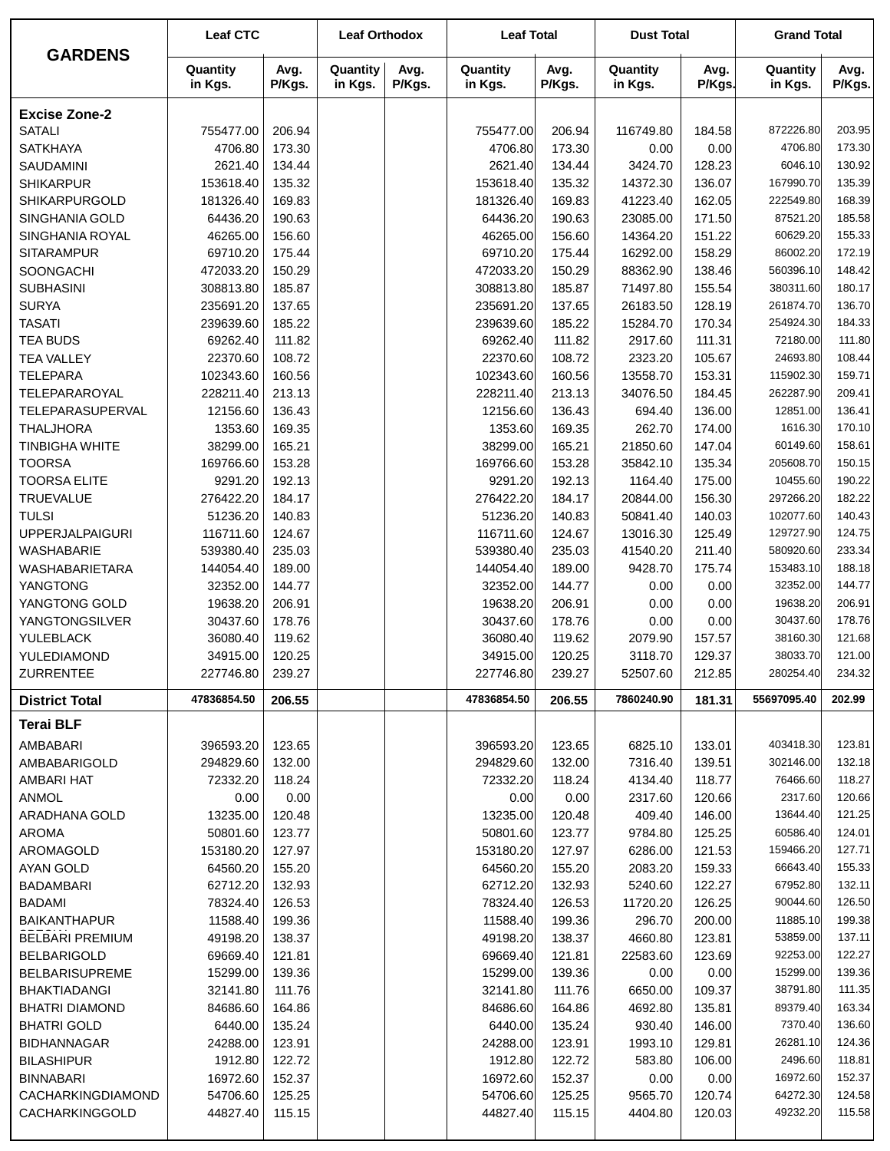| <b>GARDENS</b>         | <b>Leaf CTC</b>     |                | <b>Leaf Orthodox</b> |                | <b>Leaf Total</b>   |                | <b>Dust Total</b>   |                | <b>Grand Total</b>  |                |
|------------------------|---------------------|----------------|----------------------|----------------|---------------------|----------------|---------------------|----------------|---------------------|----------------|
|                        | Quantity<br>in Kgs. | Avg.<br>P/Kgs. | Quantity<br>in Kgs.  | Avg.<br>P/Kgs. | Quantity<br>in Kgs. | Avg.<br>P/Kgs. | Quantity<br>in Kgs. | Avg.<br>P/Kgs. | Quantity<br>in Kgs. | Avg.<br>P/Kgs. |
| <b>Excise Zone-2</b>   |                     |                |                      |                |                     |                |                     |                |                     |                |
| <b>SATALI</b>          | 755477.00           | 206.94         |                      |                | 755477.00           | 206.94         | 116749.80           | 184.58         | 872226.80           | 203.95         |
| <b>SATKHAYA</b>        | 4706.80             | 173.30         |                      |                | 4706.80             | 173.30         | 0.00                | 0.00           | 4706.80             | 173.30         |
| SAUDAMINI              | 2621.40             | 134.44         |                      |                | 2621.40             | 134.44         | 3424.70             | 128.23         | 6046.10             | 130.92         |
| <b>SHIKARPUR</b>       | 153618.40           | 135.32         |                      |                | 153618.40           | 135.32         | 14372.30            | 136.07         | 167990.70           | 135.39         |
| SHIKARPURGOLD          | 181326.40           | 169.83         |                      |                | 181326.40           | 169.83         | 41223.40            | 162.05         | 222549.80           | 168.39         |
| SINGHANIA GOLD         | 64436.20            | 190.63         |                      |                | 64436.20            | 190.63         | 23085.00            | 171.50         | 87521.20            | 185.58         |
| SINGHANIA ROYAL        | 46265.00            | 156.60         |                      |                | 46265.00            | 156.60         | 14364.20            | 151.22         | 60629.20            | 155.33         |
| <b>SITARAMPUR</b>      | 69710.20            | 175.44         |                      |                | 69710.20            | 175.44         | 16292.00            | 158.29         | 86002.20            | 172.19         |
| SOONGACHI              | 472033.20           | 150.29         |                      |                | 472033.20           | 150.29         | 88362.90            | 138.46         | 560396.10           | 148.42         |
| <b>SUBHASINI</b>       | 308813.80           | 185.87         |                      |                | 308813.80           | 185.87         | 71497.80            | 155.54         | 380311.60           | 180.17         |
| <b>SURYA</b>           | 235691.20           | 137.65         |                      |                | 235691.20           | 137.65         | 26183.50            | 128.19         | 261874.70           | 136.70         |
| <b>TASATI</b>          | 239639.60           | 185.22         |                      |                | 239639.60           | 185.22         | 15284.70            | 170.34         | 254924.30           | 184.33         |
| <b>TEA BUDS</b>        | 69262.40            | 111.82         |                      |                | 69262.40            | 111.82         | 2917.60             | 111.31         | 72180.00            | 111.80         |
| <b>TEA VALLEY</b>      | 22370.60            | 108.72         |                      |                | 22370.60            | 108.72         | 2323.20             | 105.67         | 24693.80            | 108.44         |
| <b>TELEPARA</b>        | 102343.60           | 160.56         |                      |                | 102343.60           | 160.56         | 13558.70            | 153.31         | 115902.30           | 159.71         |
| <b>TELEPARAROYAL</b>   | 228211.40           | 213.13         |                      |                |                     | 213.13         |                     | 184.45         | 262287.90           | 209.41         |
|                        |                     |                |                      |                | 228211.40           |                | 34076.50            |                | 12851.00            | 136.41         |
| TELEPARASUPERVAL       | 12156.60            | 136.43         |                      |                | 12156.60            | 136.43         | 694.40              | 136.00         |                     |                |
| <b>THALJHORA</b>       | 1353.60             | 169.35         |                      |                | 1353.60             | 169.35         | 262.70              | 174.00         | 1616.30             | 170.10         |
| <b>TINBIGHA WHITE</b>  | 38299.00            | 165.21         |                      |                | 38299.00            | 165.21         | 21850.60            | 147.04         | 60149.60            | 158.61         |
| <b>TOORSA</b>          | 169766.60           | 153.28         |                      |                | 169766.60           | 153.28         | 35842.10            | 135.34         | 205608.70           | 150.15         |
| <b>TOORSA ELITE</b>    | 9291.20             | 192.13         |                      |                | 9291.20             | 192.13         | 1164.40             | 175.00         | 10455.60            | 190.22         |
| <b>TRUEVALUE</b>       | 276422.20           | 184.17         |                      |                | 276422.20           | 184.17         | 20844.00            | 156.30         | 297266.20           | 182.22         |
| <b>TULSI</b>           | 51236.20            | 140.83         |                      |                | 51236.20            | 140.83         | 50841.40            | 140.03         | 102077.60           | 140.43         |
| <b>UPPERJALPAIGURI</b> | 116711.60           | 124.67         |                      |                | 116711.60           | 124.67         | 13016.30            | 125.49         | 129727.90           | 124.75         |
| <b>WASHABARIE</b>      | 539380.40           | 235.03         |                      |                | 539380.40           | 235.03         | 41540.20            | 211.40         | 580920.60           | 233.34         |
| <b>WASHABARIETARA</b>  | 144054.40           | 189.00         |                      |                | 144054.40           | 189.00         | 9428.70             | 175.74         | 153483.10           | 188.18         |
| <b>YANGTONG</b>        | 32352.00            | 144.77         |                      |                | 32352.00            | 144.77         | 0.00                | 0.00           | 32352.00            | 144.77         |
| YANGTONG GOLD          | 19638.20            | 206.91         |                      |                | 19638.20            | 206.91         | 0.00                | 0.00           | 19638.20            | 206.91         |
| <b>YANGTONGSILVER</b>  | 30437.60            | 178.76         |                      |                | 30437.60            | 178.76         | 0.00                | 0.00           | 30437.60            | 178.76         |
| YULEBLACK              | 36080.40            | 119.62         |                      |                | 36080.40            | 119.62         | 2079.90             | 157.57         | 38160.30            | 121.68         |
| YULEDIAMOND            | 34915.00            | 120.25         |                      |                | 34915.00            | 120.25         | 3118.70             | 129.37         | 38033.70            | 121.00         |
| ZURRENTEE              | 227746.80           | 239.27         |                      |                | 227746.80           | 239.27         | 52507.60            | 212.85         | 280254.40           | 234.32         |
| <b>District Total</b>  | 47836854.50         | 206.55         |                      |                | 47836854.50         | 206.55         | 7860240.90          | 181.31         | 55697095.40         | 202.99         |
| <b>Terai BLF</b>       |                     |                |                      |                |                     |                |                     |                |                     |                |
| AMBABARI               | 396593.20           | 123.65         |                      |                | 396593.20           | 123.65         | 6825.10             | 133.01         | 403418.30           | 123.81         |
| AMBABARIGOLD           | 294829.60           | 132.00         |                      |                | 294829.60           | 132.00         | 7316.40             | 139.51         | 302146.00           | 132.18         |
| AMBARI HAT             | 72332.20            | 118.24         |                      |                | 72332.20            | 118.24         | 4134.40             | 118.77         | 76466.60            | 118.27         |
| <b>ANMOL</b>           | 0.00                | 0.00           |                      |                | 0.00                | 0.00           | 2317.60             | 120.66         | 2317.60             | 120.66         |
| ARADHANA GOLD          | 13235.00            | 120.48         |                      |                | 13235.00            | 120.48         | 409.40              | 146.00         | 13644.40            | 121.25         |
| <b>AROMA</b>           | 50801.60            | 123.77         |                      |                | 50801.60            | 123.77         | 9784.80             | 125.25         | 60586.40            | 124.01         |
| AROMAGOLD              | 153180.20           | 127.97         |                      |                | 153180.20           | 127.97         | 6286.00             | 121.53         | 159466.20           | 127.71         |
| AYAN GOLD              | 64560.20            | 155.20         |                      |                | 64560.20            | 155.20         | 2083.20             | 159.33         | 66643.40            | 155.33         |
| <b>BADAMBARI</b>       | 62712.20            | 132.93         |                      |                | 62712.20            | 132.93         | 5240.60             | 122.27         | 67952.80            | 132.11         |
| <b>BADAMI</b>          | 78324.40            | 126.53         |                      |                | 78324.40            | 126.53         | 11720.20            | 126.25         | 90044.60            | 126.50         |
| <b>BAIKANTHAPUR</b>    | 11588.40            | 199.36         |                      |                | 11588.40            | 199.36         | 296.70              | 200.00         | 11885.10            | 199.38         |
| <b>BELBARI PREMIUM</b> | 49198.20            | 138.37         |                      |                | 49198.20            | 138.37         | 4660.80             | 123.81         | 53859.00            | 137.11         |
| <b>BELBARIGOLD</b>     | 69669.40            | 121.81         |                      |                | 69669.40            | 121.81         | 22583.60            | 123.69         | 92253.00            | 122.27         |
| <b>BELBARISUPREME</b>  | 15299.00            | 139.36         |                      |                | 15299.00            | 139.36         | 0.00                | 0.00           | 15299.00            | 139.36         |
| <b>BHAKTIADANGI</b>    | 32141.80            | 111.76         |                      |                | 32141.80            | 111.76         | 6650.00             | 109.37         | 38791.80            | 111.35         |
| BHATRI DIAMOND         | 84686.60            | 164.86         |                      |                | 84686.60            | 164.86         | 4692.80             | 135.81         | 89379.40            | 163.34         |
| <b>BHATRI GOLD</b>     | 6440.00             | 135.24         |                      |                | 6440.00             | 135.24         | 930.40              | 146.00         | 7370.40             | 136.60         |
| <b>BIDHANNAGAR</b>     | 24288.00            | 123.91         |                      |                | 24288.00            | 123.91         | 1993.10             | 129.81         | 26281.10            | 124.36         |
| <b>BILASHIPUR</b>      | 1912.80             | 122.72         |                      |                | 1912.80             | 122.72         | 583.80              | 106.00         | 2496.60             | 118.81         |
| <b>BINNABARI</b>       | 16972.60            | 152.37         |                      |                | 16972.60            | 152.37         | 0.00                | 0.00           | 16972.60            | 152.37         |
| CACHARKINGDIAMOND      | 54706.60            | 125.25         |                      |                | 54706.60            | 125.25         | 9565.70             | 120.74         | 64272.30            | 124.58         |
| CACHARKINGGOLD         | 44827.40            | 115.15         |                      |                | 44827.40            | 115.15         | 4404.80             | 120.03         | 49232.20            | 115.58         |
|                        |                     |                |                      |                |                     |                |                     |                |                     |                |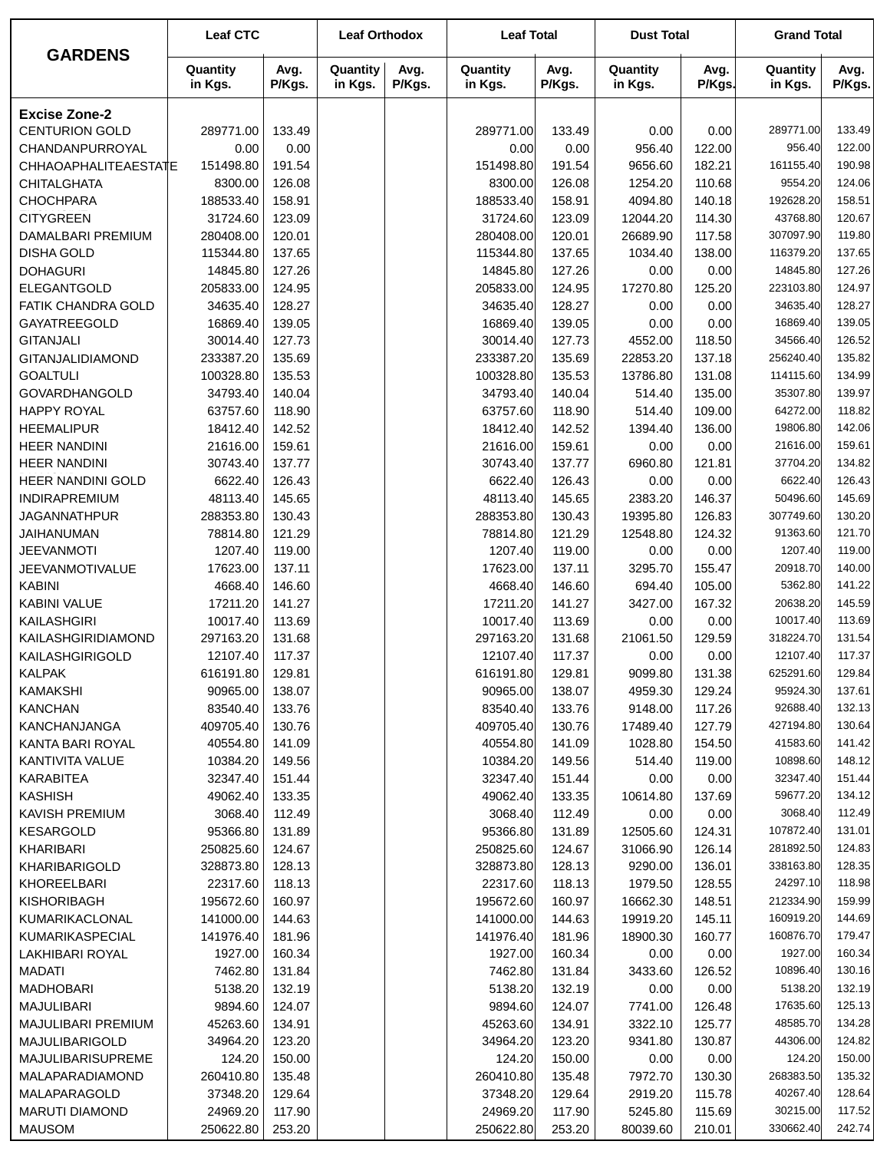|                          | <b>Leaf CTC</b>     |                | <b>Leaf Orthodox</b> |                | <b>Leaf Total</b>   |                | <b>Dust Total</b>   |                | <b>Grand Total</b>  |                |
|--------------------------|---------------------|----------------|----------------------|----------------|---------------------|----------------|---------------------|----------------|---------------------|----------------|
| <b>GARDENS</b>           | Quantity<br>in Kgs. | Avg.<br>P/Kgs. | Quantity<br>in Kgs.  | Avg.<br>P/Kgs. | Quantity<br>in Kgs. | Avg.<br>P/Kgs. | Quantity<br>in Kgs. | Avg.<br>P/Kgs. | Quantity<br>in Kgs. | Avg.<br>P/Kgs. |
| <b>Excise Zone-2</b>     |                     |                |                      |                |                     |                |                     |                |                     |                |
| <b>CENTURION GOLD</b>    | 289771.00           | 133.49         |                      |                | 289771.00           | 133.49         | 0.00                | 0.00           | 289771.00           | 133.49         |
| CHANDANPURROYAL          | 0.00                | 0.00           |                      |                | 0.00                | 0.00           | 956.40              | 122.00         | 956.40              | 122.00         |
| CHHAOAPHALITEAESTATE     | 151498.80           | 191.54         |                      |                | 151498.80           | 191.54         | 9656.60             | 182.21         | 161155.40           | 190.98         |
| <b>CHITALGHATA</b>       | 8300.00             | 126.08         |                      |                | 8300.00             | 126.08         | 1254.20             | 110.68         | 9554.20             | 124.06         |
| <b>CHOCHPARA</b>         | 188533.40           | 158.91         |                      |                | 188533.40           | 158.91         | 4094.80             | 140.18         | 192628.20           | 158.51         |
| <b>CITYGREEN</b>         | 31724.60            | 123.09         |                      |                | 31724.60            | 123.09         | 12044.20            | 114.30         | 43768.80            | 120.67         |
| DAMALBARI PREMIUM        | 280408.00           | 120.01         |                      |                | 280408.00           | 120.01         | 26689.90            | 117.58         | 307097.90           | 119.80         |
| <b>DISHA GOLD</b>        | 115344.80           | 137.65         |                      |                | 115344.80           | 137.65         | 1034.40             | 138.00         | 116379.20           | 137.65         |
| <b>DOHAGURI</b>          | 14845.80            | 127.26         |                      |                | 14845.80            | 127.26         | 0.00                | 0.00           | 14845.80            | 127.26         |
| ELEGANTGOLD              | 205833.00           | 124.95         |                      |                | 205833.00           | 124.95         | 17270.80            | 125.20         | 223103.80           | 124.97         |
| FATIK CHANDRA GOLD       | 34635.40            | 128.27         |                      |                | 34635.40            | 128.27         | 0.00                | 0.00           | 34635.40            | 128.27         |
| GAYATREEGOLD             | 16869.40            | 139.05         |                      |                | 16869.40            | 139.05         | 0.00                | 0.00           | 16869.40            | 139.05         |
| <b>GITANJALI</b>         | 30014.40            | 127.73         |                      |                | 30014.40            | 127.73         | 4552.00             | 118.50         | 34566.40            | 126.52         |
| GITANJALIDIAMOND         | 233387.20           | 135.69         |                      |                | 233387.20           | 135.69         | 22853.20            | 137.18         | 256240.40           | 135.82         |
| <b>GOALTULI</b>          | 100328.80           | 135.53         |                      |                | 100328.80           | 135.53         | 13786.80            | 131.08         | 114115.60           | 134.99         |
| <b>GOVARDHANGOLD</b>     | 34793.40            | 140.04         |                      |                | 34793.40            | 140.04         | 514.40              | 135.00         | 35307.80            | 139.97         |
| <b>HAPPY ROYAL</b>       | 63757.60            | 118.90         |                      |                | 63757.60            | 118.90         | 514.40              | 109.00         | 64272.00            | 118.82         |
| <b>HEEMALIPUR</b>        | 18412.40            | 142.52         |                      |                | 18412.40            | 142.52         | 1394.40             | 136.00         | 19806.80            | 142.06         |
| <b>HEER NANDINI</b>      | 21616.00            | 159.61         |                      |                | 21616.00            | 159.61         | 0.00                | 0.00           | 21616.00            | 159.61         |
| <b>HEER NANDINI</b>      | 30743.40            | 137.77         |                      |                | 30743.40            | 137.77         | 6960.80             | 121.81         | 37704.20            | 134.82         |
| <b>HEER NANDINI GOLD</b> | 6622.40             | 126.43         |                      |                | 6622.40             | 126.43         | 0.00                | 0.00           | 6622.40             | 126.43         |
| <b>INDIRAPREMIUM</b>     | 48113.40            | 145.65         |                      |                | 48113.40            | 145.65         | 2383.20             | 146.37         | 50496.60            | 145.69         |
| <b>JAGANNATHPUR</b>      | 288353.80           | 130.43         |                      |                | 288353.80           | 130.43         | 19395.80            | 126.83         | 307749.60           | 130.20         |
| JAIHANUMAN               | 78814.80            | 121.29         |                      |                | 78814.80            | 121.29         | 12548.80            | 124.32         | 91363.60            | 121.70         |
| <b>JEEVANMOTI</b>        | 1207.40             | 119.00         |                      |                | 1207.40             | 119.00         | 0.00                | 0.00           | 1207.40             | 119.00         |
| <b>JEEVANMOTIVALUE</b>   | 17623.00            | 137.11         |                      |                | 17623.00            | 137.11         | 3295.70             | 155.47         | 20918.70            | 140.00         |
| <b>KABINI</b>            | 4668.40             | 146.60         |                      |                | 4668.40             | 146.60         | 694.40              | 105.00         | 5362.80             | 141.22         |
| KABINI VALUE             | 17211.20            | 141.27         |                      |                | 17211.20            | 141.27         | 3427.00             | 167.32         | 20638.20            | 145.59         |
| <b>KAILASHGIRI</b>       | 10017.40            | 113.69         |                      |                | 10017.40            | 113.69         | 0.00                | 0.00           | 10017.40            | 113.69         |
| KAILASHGIRIDIAMOND       | 297163.20           | 131.68         |                      |                | 297163.20           | 131.68         | 21061.50            | 129.59         | 318224.70           | 131.54         |
| KAILASHGIRIGOLD          | 12107.40            | 117.37         |                      |                | 12107.40            | 117.37         | 0.00                | 0.00           | 12107.40            | 117.37         |
| <b>KALPAK</b>            | 616191.80           | 129.81         |                      |                | 616191.80           | 129.81         | 9099.80             | 131.38         | 625291.60           | 129.84         |
| <b>KAMAKSHI</b>          | 90965.00            | 138.07         |                      |                | 90965.00            | 138.07         | 4959.30             | 129.24         | 95924.30            | 137.61         |
| <b>KANCHAN</b>           | 83540.40            | 133.76         |                      |                | 83540.40            | 133.76         | 9148.00             | 117.26         | 92688.40            | 132.13         |
| <b>KANCHANJANGA</b>      | 409705.40           | 130.76         |                      |                | 409705.40           | 130.76         | 17489.40            | 127.79         | 427194.80           | 130.64         |
| KANTA BARI ROYAL         | 40554.80            | 141.09         |                      |                | 40554.80            | 141.09         | 1028.80             | 154.50         | 41583.60            | 141.42         |
| KANTIVITA VALUE          | 10384.20            | 149.56         |                      |                | 10384.20            | 149.56         | 514.40              | 119.00         | 10898.60            | 148.12         |
| KARABITEA                | 32347.40            | 151.44         |                      |                | 32347.40            | 151.44         | 0.00                | 0.00           | 32347.40            | 151.44         |
| <b>KASHISH</b>           | 49062.40            | 133.35         |                      |                | 49062.40            | 133.35         | 10614.80            | 137.69         | 59677.20            | 134.12         |
| KAVISH PREMIUM           | 3068.40             | 112.49         |                      |                | 3068.40             | 112.49         | 0.00                | 0.00           | 3068.40             | 112.49         |
| <b>KESARGOLD</b>         | 95366.80            | 131.89         |                      |                | 95366.80            | 131.89         | 12505.60            | 124.31         | 107872.40           | 131.01         |
| KHARIBARI                | 250825.60           | 124.67         |                      |                | 250825.60           | 124.67         | 31066.90            | 126.14         | 281892.50           | 124.83         |
| <b>KHARIBARIGOLD</b>     | 328873.80           | 128.13         |                      |                | 328873.80           | 128.13         | 9290.00             | 136.01         | 338163.80           | 128.35         |
| <b>KHOREELBARI</b>       | 22317.60            | 118.13         |                      |                | 22317.60            | 118.13         | 1979.50             | 128.55         | 24297.10            | 118.98         |
| KISHORIBAGH              | 195672.60           | 160.97         |                      |                | 195672.60           | 160.97         | 16662.30            | 148.51         | 212334.90           | 159.99         |
| KUMARIKACLONAL           | 141000.00           | 144.63         |                      |                | 141000.00           | 144.63         | 19919.20            | 145.11         | 160919.20           | 144.69         |
| KUMARIKASPECIAL          | 141976.40           | 181.96         |                      |                | 141976.40           | 181.96         | 18900.30            | 160.77         | 160876.70           | 179.47         |
| LAKHIBARI ROYAL          | 1927.00             | 160.34         |                      |                | 1927.00             | 160.34         | 0.00                | 0.00           | 1927.00             | 160.34         |
| <b>MADATI</b>            | 7462.80             | 131.84         |                      |                | 7462.80             | 131.84         | 3433.60             | 126.52         | 10896.40            | 130.16         |
| <b>MADHOBARI</b>         | 5138.20             | 132.19         |                      |                | 5138.20             | 132.19         | 0.00                | 0.00           | 5138.20             | 132.19         |
| MAJULIBARI               | 9894.60             | 124.07         |                      |                | 9894.60             | 124.07         | 7741.00             | 126.48         | 17635.60            | 125.13         |
| MAJULIBARI PREMIUM       | 45263.60            | 134.91         |                      |                | 45263.60            | 134.91         | 3322.10             | 125.77         | 48585.70            | 134.28         |
| MAJULIBARIGOLD           | 34964.20            | 123.20         |                      |                | 34964.20            | 123.20         | 9341.80             | 130.87         | 44306.00            | 124.82         |
| <b>MAJULIBARISUPREME</b> | 124.20              | 150.00         |                      |                | 124.20              | 150.00         | 0.00                | 0.00           | 124.20              | 150.00         |
| MALAPARADIAMOND          | 260410.80           | 135.48         |                      |                | 260410.80           | 135.48         | 7972.70             | 130.30         | 268383.50           | 135.32         |
| MALAPARAGOLD             | 37348.20            | 129.64         |                      |                | 37348.20            | 129.64         | 2919.20             | 115.78         | 40267.40            | 128.64         |
| <b>MARUTI DIAMOND</b>    | 24969.20            | 117.90         |                      |                | 24969.20            | 117.90         | 5245.80             | 115.69         | 30215.00            | 117.52         |
| <b>MAUSOM</b>            | 250622.80           | 253.20         |                      |                | 250622.80           | 253.20         | 80039.60            | 210.01         | 330662.40           | 242.74         |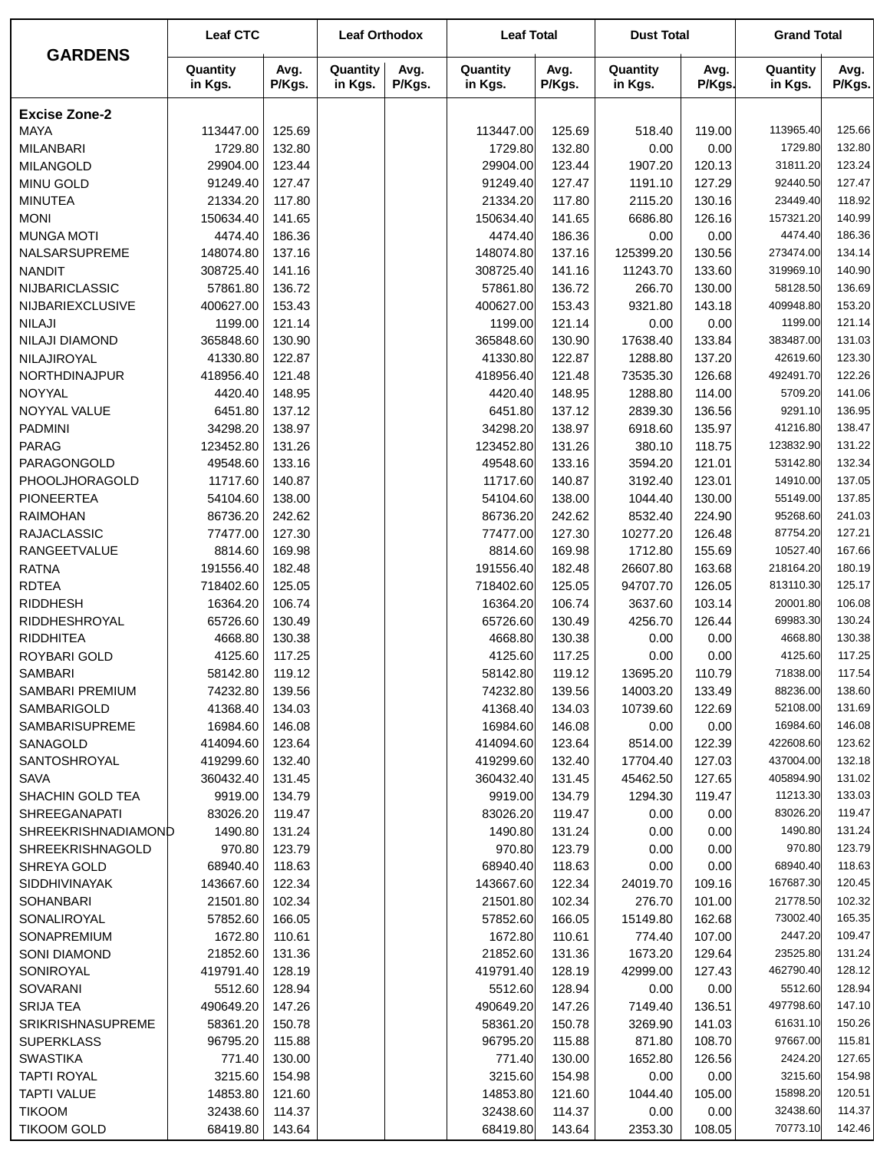|                                | <b>Leaf CTC</b>       |                  | <b>Leaf Orthodox</b> |                | <b>Leaf Total</b>     |                  | <b>Dust Total</b>   |                  | <b>Grand Total</b>   |                  |
|--------------------------------|-----------------------|------------------|----------------------|----------------|-----------------------|------------------|---------------------|------------------|----------------------|------------------|
| <b>GARDENS</b>                 | Quantity<br>in Kgs.   | Avg.<br>P/Kgs.   | Quantity<br>in Kgs.  | Avg.<br>P/Kgs. | Quantity<br>in Kgs.   | Avg.<br>P/Kgs.   | Quantity<br>in Kgs. | Avg.<br>P/Kgs.   | Quantity<br>in Kgs.  | Avg.<br>P/Kgs.   |
| <b>Excise Zone-2</b>           |                       |                  |                      |                |                       |                  |                     |                  |                      |                  |
| <b>MAYA</b>                    | 113447.00             | 125.69           |                      |                | 113447.00             | 125.69           | 518.40              | 119.00           | 113965.40            | 125.66           |
| <b>MILANBARI</b>               | 1729.80               | 132.80           |                      |                | 1729.80               | 132.80           | 0.00                | 0.00             | 1729.80              | 132.80           |
| <b>MILANGOLD</b>               | 29904.00              | 123.44           |                      |                | 29904.00              | 123.44           | 1907.20             | 120.13           | 31811.20             | 123.24           |
| <b>MINU GOLD</b>               | 91249.40              | 127.47           |                      |                | 91249.40              | 127.47           | 1191.10             | 127.29           | 92440.50             | 127.47           |
| <b>MINUTEA</b>                 | 21334.20              | 117.80           |                      |                | 21334.20              | 117.80           | 2115.20             | 130.16           | 23449.40             | 118.92           |
| <b>MONI</b>                    | 150634.40             | 141.65           |                      |                | 150634.40             | 141.65           | 6686.80             | 126.16           | 157321.20            | 140.99           |
| <b>MUNGA MOTI</b>              | 4474.40               | 186.36           |                      |                | 4474.40               | 186.36           | 0.00                | 0.00             | 4474.40              | 186.36           |
| NALSARSUPREME                  | 148074.80             | 137.16           |                      |                | 148074.80             | 137.16           | 125399.20           | 130.56           | 273474.00            | 134.14           |
| <b>NANDIT</b>                  | 308725.40             | 141.16           |                      |                | 308725.40             | 141.16           | 11243.70            | 133.60           | 319969.10            | 140.90           |
| NIJBARICLASSIC                 | 57861.80              | 136.72           |                      |                | 57861.80              | 136.72           | 266.70              | 130.00           | 58128.50             | 136.69           |
| NIJBARIEXCLUSIVE               | 400627.00             | 153.43           |                      |                | 400627.00             | 153.43           | 9321.80             | 143.18           | 409948.80            | 153.20           |
| <b>NILAJI</b>                  | 1199.00               | 121.14           |                      |                | 1199.00               | 121.14           | 0.00                | 0.00             | 1199.00              | 121.14           |
| NILAJI DIAMOND                 | 365848.60             | 130.90           |                      |                | 365848.60             | 130.90           | 17638.40            | 133.84           | 383487.00            | 131.03           |
| NILAJIROYAL                    | 41330.80              | 122.87           |                      |                | 41330.80              | 122.87           | 1288.80             | 137.20           | 42619.60             | 123.30           |
| NORTHDINAJPUR                  | 418956.40             | 121.48           |                      |                | 418956.40             | 121.48           | 73535.30            | 126.68           | 492491.70            | 122.26           |
| NOYYAL                         | 4420.40               | 148.95           |                      |                | 4420.40               | 148.95           | 1288.80             | 114.00           | 5709.20              | 141.06           |
| NOYYAL VALUE<br><b>PADMINI</b> | 6451.80               | 137.12<br>138.97 |                      |                | 6451.80               | 137.12           | 2839.30             | 136.56           | 9291.10<br>41216.80  | 136.95<br>138.47 |
| <b>PARAG</b>                   | 34298.20<br>123452.80 | 131.26           |                      |                | 34298.20<br>123452.80 | 138.97<br>131.26 | 6918.60<br>380.10   | 135.97<br>118.75 | 123832.90            | 131.22           |
| PARAGONGOLD                    | 49548.60              | 133.16           |                      |                | 49548.60              | 133.16           | 3594.20             | 121.01           | 53142.80             | 132.34           |
| PHOOLJHORAGOLD                 | 11717.60              | 140.87           |                      |                | 11717.60              | 140.87           | 3192.40             | 123.01           | 14910.00             | 137.05           |
| <b>PIONEERTEA</b>              | 54104.60              | 138.00           |                      |                | 54104.60              | 138.00           | 1044.40             | 130.00           | 55149.00             | 137.85           |
| <b>RAIMOHAN</b>                | 86736.20              | 242.62           |                      |                | 86736.20              | 242.62           | 8532.40             | 224.90           | 95268.60             | 241.03           |
| <b>RAJACLASSIC</b>             | 77477.00              | 127.30           |                      |                | 77477.00              | 127.30           | 10277.20            | 126.48           | 87754.20             | 127.21           |
| <b>RANGEETVALUE</b>            | 8814.60               | 169.98           |                      |                | 8814.60               | 169.98           | 1712.80             | 155.69           | 10527.40             | 167.66           |
| <b>RATNA</b>                   | 191556.40             | 182.48           |                      |                | 191556.40             | 182.48           | 26607.80            | 163.68           | 218164.20            | 180.19           |
| <b>RDTEA</b>                   | 718402.60             | 125.05           |                      |                | 718402.60             | 125.05           | 94707.70            | 126.05           | 813110.30            | 125.17           |
| <b>RIDDHESH</b>                | 16364.20              | 106.74           |                      |                | 16364.20              | 106.74           | 3637.60             | 103.14           | 20001.80             | 106.08           |
| RIDDHESHROYAL                  | 65726.60              | 130.49           |                      |                | 65726.60              | 130.49           | 4256.70             | 126.44           | 69983.30             | 130.24           |
| <b>RIDDHITEA</b>               | 4668.80               | 130.38           |                      |                | 4668.80               | 130.38           | 0.00                | 0.00             | 4668.80              | 130.38           |
| ROYBARI GOLD                   | 4125.60               | 117.25           |                      |                | 4125.60               | 117.25           | 0.00                | 0.00             | 4125.60              | 117.25           |
| SAMBARI                        | 58142.80              | 119.12           |                      |                | 58142.80              | 119.12           | 13695.20            | 110.79           | 71838.00             | 117.54           |
| SAMBARI PREMIUM                | 74232.80              | 139.56           |                      |                | 74232.80              | 139.56           | 14003.20            | 133.49           | 88236.00             | 138.60           |
| SAMBARIGOLD                    | 41368.40              | 134.03           |                      |                | 41368.40              | 134.03           | 10739.60            | 122.69           | 52108.00             | 131.69           |
| <b>SAMBARISUPREME</b>          | 16984.60              | 146.08           |                      |                | 16984.60              | 146.08           | 0.00                | 0.00             | 16984.60             | 146.08           |
| SANAGOLD                       | 414094.60             | 123.64           |                      |                | 414094.60             | 123.64           | 8514.00             | 122.39           | 422608.60            | 123.62           |
| SANTOSHROYAL                   | 419299.60             | 132.40           |                      |                | 419299.60             | 132.40           | 17704.40            | 127.03           | 437004.00            | 132.18           |
| <b>SAVA</b>                    | 360432.40             | 131.45           |                      |                | 360432.40             | 131.45           | 45462.50            | 127.65           | 405894.90            | 131.02           |
| SHACHIN GOLD TEA               | 9919.00               | 134.79           |                      |                | 9919.00               | 134.79           | 1294.30             | 119.47           | 11213.30             | 133.03           |
| <b>SHREEGANAPATI</b>           | 83026.20              | 119.47           |                      |                | 83026.20              | 119.47           | 0.00                | 0.00             | 83026.20             | 119.47           |
| <b>SHREEKRISHNADIAMOND</b>     | 1490.80               | 131.24           |                      |                | 1490.80               | 131.24           | 0.00                | 0.00             | 1490.80              | 131.24           |
| <b>SHREEKRISHNAGOLD</b>        | 970.80                | 123.79           |                      |                | 970.80                | 123.79           | 0.00                | 0.00             | 970.80               | 123.79           |
| SHREYA GOLD                    | 68940.40              | 118.63           |                      |                | 68940.40              | 118.63           | 0.00                | 0.00             | 68940.40             | 118.63           |
| <b>SIDDHIVINAYAK</b>           | 143667.60             | 122.34           |                      |                | 143667.60             | 122.34           | 24019.70            | 109.16           | 167687.30            | 120.45           |
| <b>SOHANBARI</b>               | 21501.80              | 102.34           |                      |                | 21501.80              | 102.34           | 276.70              | 101.00           | 21778.50<br>73002.40 | 102.32<br>165.35 |
| SONALIROYAL                    | 57852.60<br>1672.80   | 166.05<br>110.61 |                      |                | 57852.60<br>1672.80   | 166.05<br>110.61 | 15149.80<br>774.40  | 162.68<br>107.00 | 2447.20              | 109.47           |
| SONAPREMIUM<br>SONI DIAMOND    | 21852.60              | 131.36           |                      |                | 21852.60              | 131.36           | 1673.20             | 129.64           | 23525.80             | 131.24           |
| SONIROYAL                      | 419791.40             | 128.19           |                      |                | 419791.40             | 128.19           | 42999.00            | 127.43           | 462790.40            | 128.12           |
| SOVARANI                       | 5512.60               | 128.94           |                      |                | 5512.60               | 128.94           | 0.00                | 0.00             | 5512.60              | 128.94           |
| <b>SRIJA TEA</b>               | 490649.20             | 147.26           |                      |                | 490649.20             | 147.26           | 7149.40             | 136.51           | 497798.60            | 147.10           |
| SRIKRISHNASUPREME              | 58361.20              | 150.78           |                      |                | 58361.20              | 150.78           | 3269.90             | 141.03           | 61631.10             | 150.26           |
| <b>SUPERKLASS</b>              | 96795.20              | 115.88           |                      |                | 96795.20              | 115.88           | 871.80              | 108.70           | 97667.00             | 115.81           |
| <b>SWASTIKA</b>                | 771.40                | 130.00           |                      |                | 771.40                | 130.00           | 1652.80             | 126.56           | 2424.20              | 127.65           |
| <b>TAPTI ROYAL</b>             | 3215.60               | 154.98           |                      |                | 3215.60               | 154.98           | 0.00                | 0.00             | 3215.60              | 154.98           |
| <b>TAPTI VALUE</b>             | 14853.80              | 121.60           |                      |                | 14853.80              | 121.60           | 1044.40             | 105.00           | 15898.20             | 120.51           |
| <b>TIKOOM</b>                  | 32438.60              | 114.37           |                      |                | 32438.60              | 114.37           | 0.00                | 0.00             | 32438.60             | 114.37           |
| <b>TIKOOM GOLD</b>             | 68419.80              | 143.64           |                      |                | 68419.80              | 143.64           | 2353.30             | 108.05           | 70773.10             | 142.46           |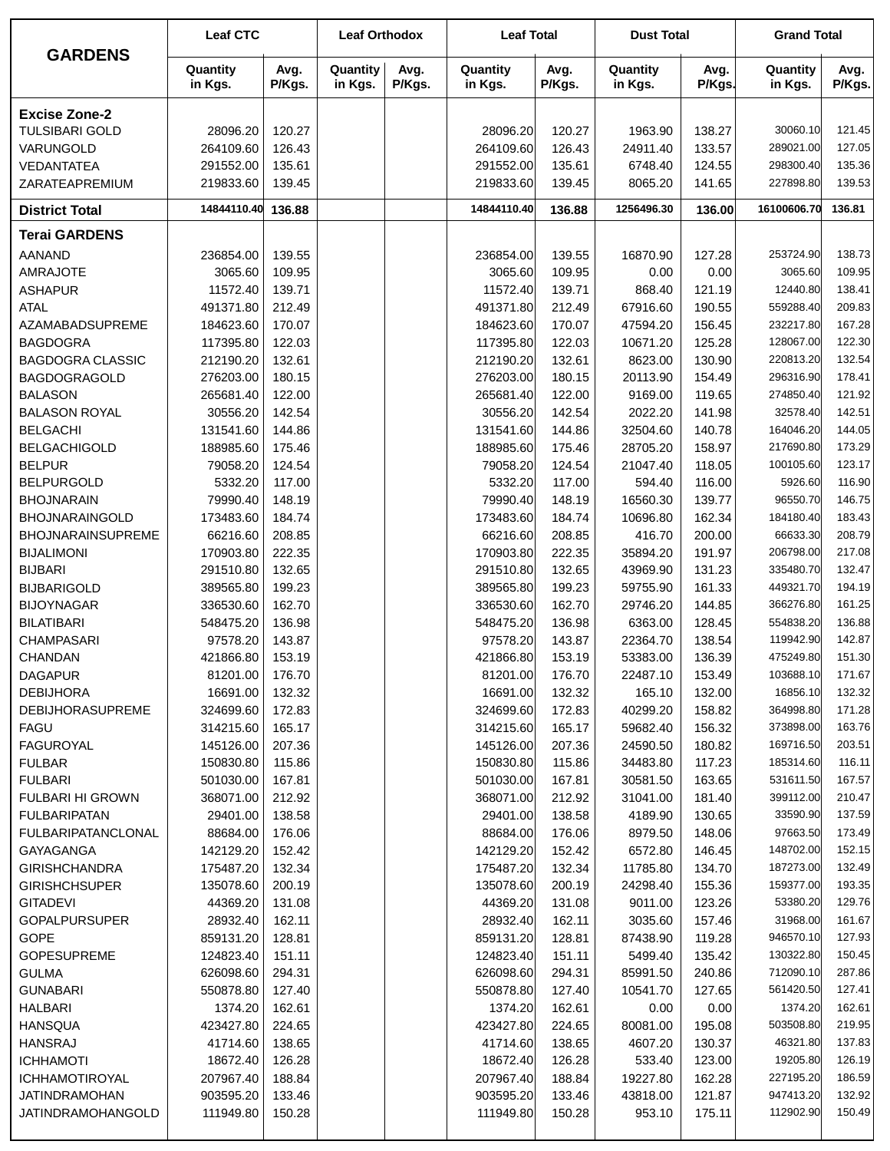| <b>GARDENS</b>           | <b>Leaf CTC</b>     |                | <b>Leaf Orthodox</b> |                | <b>Leaf Total</b>   |                | <b>Dust Total</b>   |                | <b>Grand Total</b>  |                |
|--------------------------|---------------------|----------------|----------------------|----------------|---------------------|----------------|---------------------|----------------|---------------------|----------------|
|                          | Quantity<br>in Kgs. | Avg.<br>P/Kgs. | Quantity<br>in Kgs.  | Avg.<br>P/Kgs. | Quantity<br>in Kgs. | Avg.<br>P/Kgs. | Quantity<br>in Kgs. | Avg.<br>P/Kgs. | Quantity<br>in Kgs. | Avg.<br>P/Kgs. |
| <b>Excise Zone-2</b>     |                     |                |                      |                |                     |                |                     |                |                     |                |
| <b>TULSIBARI GOLD</b>    | 28096.20            | 120.27         |                      |                | 28096.20            | 120.27         | 1963.90             | 138.27         | 30060.10            | 121.45         |
| VARUNGOLD                | 264109.60           | 126.43         |                      |                | 264109.60           | 126.43         | 24911.40            | 133.57         | 289021.00           | 127.05         |
| VEDANTATEA               | 291552.00           | 135.61         |                      |                | 291552.00           | 135.61         | 6748.40             | 124.55         | 298300.40           | 135.36         |
| ZARATEAPREMIUM           | 219833.60           | 139.45         |                      |                | 219833.60           | 139.45         | 8065.20             | 141.65         | 227898.80           | 139.53         |
| <b>District Total</b>    | 14844110.40         | 136.88         |                      |                | 14844110.40         | 136.88         | 1256496.30          | 136.00         | 16100606.70         | 136.81         |
| <b>Terai GARDENS</b>     |                     |                |                      |                |                     |                |                     |                |                     |                |
| <b>AANAND</b>            | 236854.00           | 139.55         |                      |                | 236854.00           | 139.55         | 16870.90            | 127.28         | 253724.90           | 138.73         |
| <b>AMRAJOTE</b>          | 3065.60             | 109.95         |                      |                | 3065.60             | 109.95         | 0.00                | 0.00           | 3065.60             | 109.95         |
| <b>ASHAPUR</b>           | 11572.40            | 139.71         |                      |                | 11572.40            | 139.71         | 868.40              | 121.19         | 12440.80            | 138.41         |
| <b>ATAL</b>              | 491371.80           | 212.49         |                      |                | 491371.80           | 212.49         | 67916.60            | 190.55         | 559288.40           | 209.83         |
| AZAMABADSUPREME          | 184623.60           | 170.07         |                      |                | 184623.60           | 170.07         | 47594.20            | 156.45         | 232217.80           | 167.28         |
| <b>BAGDOGRA</b>          | 117395.80           | 122.03         |                      |                | 117395.80           | 122.03         | 10671.20            | 125.28         | 128067.00           | 122.30         |
| <b>BAGDOGRA CLASSIC</b>  | 212190.20           | 132.61         |                      |                | 212190.20           | 132.61         | 8623.00             | 130.90         | 220813.20           | 132.54         |
| <b>BAGDOGRAGOLD</b>      | 276203.00           | 180.15         |                      |                | 276203.00           | 180.15         | 20113.90            | 154.49         | 296316.90           | 178.41         |
| <b>BALASON</b>           | 265681.40           | 122.00         |                      |                | 265681.40           | 122.00         | 9169.00             | 119.65         | 274850.40           | 121.92         |
| <b>BALASON ROYAL</b>     | 30556.20            | 142.54         |                      |                | 30556.20            | 142.54         | 2022.20             | 141.98         | 32578.40            | 142.51         |
| <b>BELGACHI</b>          | 131541.60           | 144.86         |                      |                | 131541.60           | 144.86         | 32504.60            | 140.78         | 164046.20           | 144.05         |
| <b>BELGACHIGOLD</b>      | 188985.60           | 175.46         |                      |                | 188985.60           | 175.46         | 28705.20            | 158.97         | 217690.80           | 173.29         |
| <b>BELPUR</b>            | 79058.20            | 124.54         |                      |                | 79058.20            | 124.54         | 21047.40            | 118.05         | 100105.60           | 123.17         |
| <b>BELPURGOLD</b>        | 5332.20             | 117.00         |                      |                | 5332.20             | 117.00         | 594.40              | 116.00         | 5926.60             | 116.90         |
| <b>BHOJNARAIN</b>        | 79990.40            | 148.19         |                      |                | 79990.40            | 148.19         | 16560.30            | 139.77         | 96550.70            | 146.75         |
| <b>BHOJNARAINGOLD</b>    | 173483.60           | 184.74         |                      |                | 173483.60           | 184.74         | 10696.80            | 162.34         | 184180.40           | 183.43         |
| <b>BHOJNARAINSUPREME</b> | 66216.60            | 208.85         |                      |                | 66216.60            | 208.85         | 416.70              | 200.00         | 66633.30            | 208.79         |
| <b>BIJALIMONI</b>        | 170903.80           | 222.35         |                      |                | 170903.80           | 222.35         | 35894.20            | 191.97         | 206798.00           | 217.08         |
| <b>BIJBARI</b>           | 291510.80           | 132.65         |                      |                | 291510.80           | 132.65         | 43969.90            | 131.23         | 335480.70           | 132.47         |
| <b>BIJBARIGOLD</b>       | 389565.80           | 199.23         |                      |                | 389565.80           | 199.23         | 59755.90            | 161.33         | 449321.70           | 194.19         |
| <b>BIJOYNAGAR</b>        | 336530.60           | 162.70         |                      |                | 336530.60           | 162.70         | 29746.20            | 144.85         | 366276.80           | 161.25         |
| <b>BILATIBARI</b>        | 548475.20           | 136.98         |                      |                | 548475.20           | 136.98         | 6363.00             | 128.45         | 554838.20           | 136.88         |
| <b>CHAMPASARI</b>        | 97578.20            | 143.87         |                      |                | 97578.20            | 143.87         | 22364.70            | 138.54         | 119942.90           | 142.87         |
| <b>CHANDAN</b>           | 421866.80           | 153.19         |                      |                | 421866.80           | 153.19         | 53383.00            | 136.39         | 475249.80           | 151.30         |
| <b>DAGAPUR</b>           | 81201.00            | 176.70         |                      |                | 81201.00            | 176.70         | 22487.10            | 153.49         | 103688.10           | 171.67         |
| <b>DEBIJHORA</b>         | 16691.00            | 132.32         |                      |                | 16691.00            | 132.32         | 165.10              | 132.00         | 16856.10            | 132.32         |
| <b>DEBIJHORASUPREME</b>  | 324699.60           | 172.83         |                      |                | 324699.60           | 172.83         | 40299.20            | 158.82         | 364998.80           | 171.28         |
| <b>FAGU</b>              | 314215.60           | 165.17         |                      |                | 314215.60           | 165.17         | 59682.40            | 156.32         | 373898.00           | 163.76         |
| <b>FAGUROYAL</b>         | 145126.00           | 207.36         |                      |                | 145126.00           | 207.36         | 24590.50            | 180.82         | 169716.50           | 203.51         |
| <b>FULBAR</b>            | 150830.80           | 115.86         |                      |                | 150830.80           | 115.86         | 34483.80            | 117.23         | 185314.60           | 116.11         |
| <b>FULBARI</b>           | 501030.00           | 167.81         |                      |                | 501030.00           | 167.81         | 30581.50            | 163.65         | 531611.50           | 167.57         |
| FULBARI HI GROWN         | 368071.00           | 212.92         |                      |                | 368071.00           | 212.92         | 31041.00            | 181.40         | 399112.00           | 210.47         |
| <b>FULBARIPATAN</b>      | 29401.00            | 138.58         |                      |                | 29401.00            | 138.58         | 4189.90             | 130.65         | 33590.90            | 137.59         |
| FULBARIPATANCLONAL       | 88684.00            | 176.06         |                      |                | 88684.00            | 176.06         | 8979.50             | 148.06         | 97663.50            | 173.49         |
| GAYAGANGA                | 142129.20           | 152.42         |                      |                | 142129.20           | 152.42         | 6572.80             | 146.45         | 148702.00           | 152.15         |
| <b>GIRISHCHANDRA</b>     | 175487.20           | 132.34         |                      |                | 175487.20           | 132.34         | 11785.80            | 134.70         | 187273.00           | 132.49         |
| <b>GIRISHCHSUPER</b>     | 135078.60           | 200.19         |                      |                | 135078.60           | 200.19         | 24298.40            | 155.36         | 159377.00           | 193.35         |
| <b>GITADEVI</b>          | 44369.20            | 131.08         |                      |                | 44369.20            | 131.08         | 9011.00             | 123.26         | 53380.20            | 129.76         |
| <b>GOPALPURSUPER</b>     | 28932.40            | 162.11         |                      |                | 28932.40            | 162.11         | 3035.60             | 157.46         | 31968.00            | 161.67         |
| <b>GOPE</b>              | 859131.20           | 128.81         |                      |                | 859131.20           | 128.81         | 87438.90            | 119.28         | 946570.10           | 127.93         |
| <b>GOPESUPREME</b>       | 124823.40           | 151.11         |                      |                | 124823.40           | 151.11         | 5499.40             | 135.42         | 130322.80           | 150.45         |
| <b>GULMA</b>             | 626098.60           | 294.31         |                      |                | 626098.60           | 294.31         | 85991.50            | 240.86         | 712090.10           | 287.86         |
| <b>GUNABARI</b>          | 550878.80           | 127.40         |                      |                | 550878.80           | 127.40         | 10541.70            | 127.65         | 561420.50           | 127.41         |
| <b>HALBARI</b>           | 1374.20             | 162.61         |                      |                | 1374.20             | 162.61         | 0.00                | 0.00           | 1374.20             | 162.61         |
| <b>HANSQUA</b>           | 423427.80           | 224.65         |                      |                | 423427.80           | 224.65         | 80081.00            | 195.08         | 503508.80           | 219.95         |
| <b>HANSRAJ</b>           | 41714.60            | 138.65         |                      |                | 41714.60            | 138.65         | 4607.20             | 130.37         | 46321.80            | 137.83         |
| <b>ICHHAMOTI</b>         | 18672.40            | 126.28         |                      |                | 18672.40            | 126.28         | 533.40              | 123.00         | 19205.80            | 126.19         |
| <b>ICHHAMOTIROYAL</b>    | 207967.40           | 188.84         |                      |                | 207967.40           | 188.84         | 19227.80            | 162.28         | 227195.20           | 186.59         |
| <b>JATINDRAMOHAN</b>     | 903595.20           | 133.46         |                      |                | 903595.20           | 133.46         | 43818.00            | 121.87         | 947413.20           | 132.92         |
| JATINDRAMOHANGOLD        | 111949.80           | 150.28         |                      |                | 111949.80           | 150.28         | 953.10              | 175.11         | 112902.90           | 150.49         |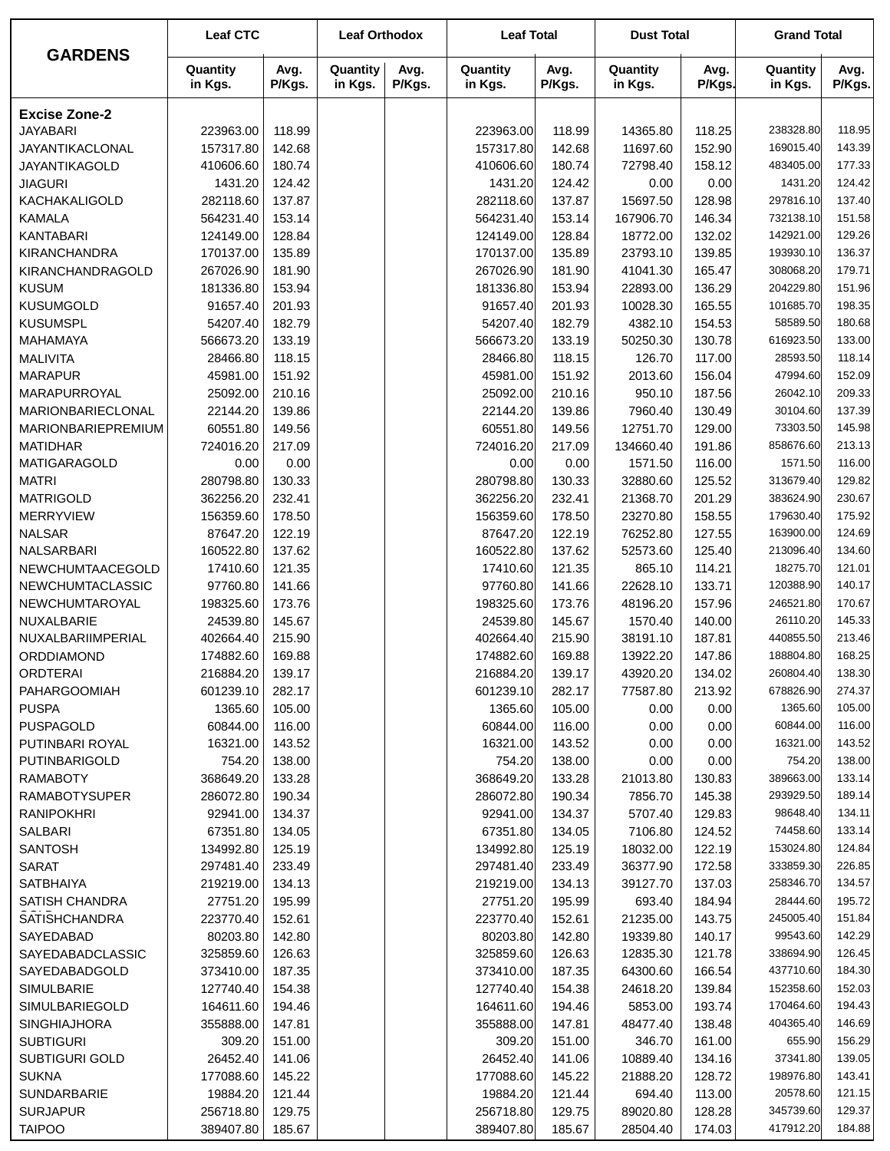|                               | <b>Leaf CTC</b>        |                  | <b>Leaf Orthodox</b> |                | <b>Leaf Total</b>      |                  | <b>Dust Total</b>    |                | <b>Grand Total</b>    |                  |
|-------------------------------|------------------------|------------------|----------------------|----------------|------------------------|------------------|----------------------|----------------|-----------------------|------------------|
| <b>GARDENS</b>                | Quantity<br>in Kgs.    | Avg.<br>P/Kgs.   | Quantity<br>in Kgs.  | Avg.<br>P/Kgs. | Quantity<br>in Kgs.    | Avg.<br>P/Kgs.   | Quantity<br>in Kgs.  | Avg.<br>P/Kgs. | Quantity<br>in Kgs.   | Avg.<br>P/Kgs.   |
| <b>Excise Zone-2</b>          |                        |                  |                      |                |                        |                  |                      |                |                       |                  |
| <b>JAYABARI</b>               | 223963.00              | 118.99           |                      |                | 223963.00              | 118.99           | 14365.80             | 118.25         | 238328.80             | 118.95           |
| <b>JAYANTIKACLONAL</b>        | 157317.80              | 142.68           |                      |                | 157317.80              | 142.68           | 11697.60             | 152.90         | 169015.40             | 143.39           |
| JAYANTIKAGOLD                 | 410606.60              | 180.74           |                      |                | 410606.60              | 180.74           | 72798.40             | 158.12         | 483405.00             | 177.33           |
| <b>JIAGURI</b>                | 1431.20                | 124.42           |                      |                | 1431.20                | 124.42           | 0.00                 | 0.00           | 1431.20               | 124.42           |
| KACHAKALIGOLD                 | 282118.60              | 137.87           |                      |                | 282118.60              | 137.87           | 15697.50             | 128.98         | 297816.10             | 137.40           |
| <b>KAMALA</b>                 | 564231.40              | 153.14           |                      |                | 564231.40              | 153.14           | 167906.70            | 146.34         | 732138.10             | 151.58           |
| <b>KANTABARI</b>              | 124149.00              | 128.84           |                      |                | 124149.00              | 128.84           | 18772.00             | 132.02         | 142921.00             | 129.26           |
| <b>KIRANCHANDRA</b>           | 170137.00              | 135.89           |                      |                | 170137.00              | 135.89           | 23793.10             | 139.85         | 193930.10             | 136.37           |
| KIRANCHANDRAGOLD              | 267026.90              | 181.90           |                      |                | 267026.90              | 181.90           | 41041.30             | 165.47         | 308068.20             | 179.71           |
| <b>KUSUM</b>                  | 181336.80              | 153.94           |                      |                | 181336.80              | 153.94           | 22893.00             | 136.29         | 204229.80             | 151.96           |
| <b>KUSUMGOLD</b>              | 91657.40               | 201.93           |                      |                | 91657.40               | 201.93           | 10028.30             | 165.55         | 101685.70             | 198.35           |
| <b>KUSUMSPL</b>               | 54207.40               | 182.79           |                      |                | 54207.40               | 182.79           | 4382.10              | 154.53         | 58589.50              | 180.68           |
| MAHAMAYA                      | 566673.20              | 133.19           |                      |                | 566673.20              | 133.19           | 50250.30             | 130.78         | 616923.50             | 133.00           |
| <b>MALIVITA</b>               | 28466.80               | 118.15           |                      |                | 28466.80               | 118.15           | 126.70               | 117.00         | 28593.50              | 118.14           |
| <b>MARAPUR</b>                | 45981.00               | 151.92           |                      |                | 45981.00               | 151.92           | 2013.60              | 156.04         | 47994.60              | 152.09           |
| MARAPURROYAL                  | 25092.00               | 210.16           |                      |                | 25092.00               | 210.16           | 950.10               | 187.56         | 26042.10              | 209.33           |
| MARIONBARIECLONAL             | 22144.20               | 139.86           |                      |                | 22144.20               | 139.86           | 7960.40              | 130.49         | 30104.60              | 137.39           |
| MARIONBARIEPREMIUM            | 60551.80               | 149.56           |                      |                | 60551.80               | 149.56           | 12751.70             | 129.00         | 73303.50              | 145.98           |
| <b>MATIDHAR</b>               | 724016.20              | 217.09           |                      |                | 724016.20              | 217.09           | 134660.40            | 191.86         | 858676.60             | 213.13           |
| MATIGARAGOLD                  | 0.00                   | 0.00             |                      |                | 0.00                   | 0.00             | 1571.50              | 116.00         | 1571.50               | 116.00           |
| <b>MATRI</b>                  | 280798.80              | 130.33           |                      |                | 280798.80              | 130.33           | 32880.60             | 125.52         | 313679.40             | 129.82           |
| <b>MATRIGOLD</b>              | 362256.20              | 232.41           |                      |                | 362256.20              | 232.41           | 21368.70             | 201.29         | 383624.90             | 230.67           |
| <b>MERRYVIEW</b>              | 156359.60              | 178.50           |                      |                | 156359.60              | 178.50           | 23270.80             | 158.55         | 179630.40             | 175.92           |
| <b>NALSAR</b>                 | 87647.20               | 122.19           |                      |                | 87647.20               | 122.19           | 76252.80             | 127.55         | 163900.00             | 124.69           |
| NALSARBARI                    | 160522.80              | 137.62           |                      |                | 160522.80              | 137.62           | 52573.60             | 125.40         | 213096.40             | 134.60           |
| NEWCHUMTAACEGOLD              | 17410.60               | 121.35           |                      |                | 17410.60               | 121.35           | 865.10               | 114.21         | 18275.70              | 121.01           |
| <b>NEWCHUMTACLASSIC</b>       | 97760.80               | 141.66           |                      |                | 97760.80               | 141.66           | 22628.10             | 133.71         | 120388.90             | 140.17           |
| NEWCHUMTAROYAL                | 198325.60              | 173.76           |                      |                | 198325.60              | 173.76           | 48196.20             | 157.96         | 246521.80             | 170.67           |
| NUXALBARIE                    | 24539.80               | 145.67           |                      |                | 24539.80<br>402664.40  | 145.67           | 1570.40              | 140.00         | 26110.20<br>440855.50 | 145.33<br>213.46 |
| NUXALBARIIMPERIAL             | 402664.40              | 215.90<br>169.88 |                      |                |                        | 215.90           | 38191.10             | 187.81         | 188804.80             | 168.25           |
| ORDDIAMOND<br><b>ORDTERAI</b> | 174882.60              | 139.17           |                      |                | 174882.60              | 169.88           | 13922.20<br>43920.20 | 147.86         | 260804.40             | 138.30           |
| <b>PAHARGOOMIAH</b>           | 216884.20<br>601239.10 | 282.17           |                      |                | 216884.20<br>601239.10 | 139.17<br>282.17 | 77587.80             | 134.02         | 678826.90             | 274.37           |
| <b>PUSPA</b>                  | 1365.60                | 105.00           |                      |                | 1365.60                | 105.00           | 0.00                 | 213.92<br>0.00 | 1365.60               | 105.00           |
| PUSPAGOLD                     | 60844.00               | 116.00           |                      |                | 60844.00               | 116.00           | 0.00                 | 0.00           | 60844.00              | 116.00           |
| PUTINBARI ROYAL               | 16321.00               | 143.52           |                      |                | 16321.00               | 143.52           | 0.00                 | 0.00           | 16321.00              | 143.52           |
| <b>PUTINBARIGOLD</b>          | 754.20                 | 138.00           |                      |                | 754.20                 | 138.00           | 0.00                 | 0.00           | 754.20                | 138.00           |
| <b>RAMABOTY</b>               | 368649.20              | 133.28           |                      |                | 368649.20              | 133.28           | 21013.80             | 130.83         | 389663.00             | 133.14           |
| <b>RAMABOTYSUPER</b>          | 286072.80              | 190.34           |                      |                | 286072.80              | 190.34           | 7856.70              | 145.38         | 293929.50             | 189.14           |
| <b>RANIPOKHRI</b>             | 92941.00               | 134.37           |                      |                | 92941.00               | 134.37           | 5707.40              | 129.83         | 98648.40              | 134.11           |
| SALBARI                       | 67351.80               | 134.05           |                      |                | 67351.80               | 134.05           | 7106.80              | 124.52         | 74458.60              | 133.14           |
| <b>SANTOSH</b>                | 134992.80              | 125.19           |                      |                | 134992.80              | 125.19           | 18032.00             | 122.19         | 153024.80             | 124.84           |
| <b>SARAT</b>                  | 297481.40              | 233.49           |                      |                | 297481.40              | 233.49           | 36377.90             | 172.58         | 333859.30             | 226.85           |
| <b>SATBHAIYA</b>              | 219219.00              | 134.13           |                      |                | 219219.00              | 134.13           | 39127.70             | 137.03         | 258346.70             | 134.57           |
| <b>SATISH CHANDRA</b>         | 27751.20               | 195.99           |                      |                | 27751.20               | 195.99           | 693.40               | 184.94         | 28444.60              | 195.72           |
| <b>SATISHCHANDRA</b>          | 223770.40              | 152.61           |                      |                | 223770.40              | 152.61           | 21235.00             | 143.75         | 245005.40             | 151.84           |
| SAYEDABAD                     | 80203.80               | 142.80           |                      |                | 80203.80               | 142.80           | 19339.80             | 140.17         | 99543.60              | 142.29           |
| SAYEDABADCLASSIC              | 325859.60              | 126.63           |                      |                | 325859.60              | 126.63           | 12835.30             | 121.78         | 338694.90             | 126.45           |
| SAYEDABADGOLD                 | 373410.00              | 187.35           |                      |                | 373410.00              | 187.35           | 64300.60             | 166.54         | 437710.60             | 184.30           |
| SIMULBARIE                    | 127740.40              | 154.38           |                      |                | 127740.40              | 154.38           | 24618.20             | 139.84         | 152358.60             | 152.03           |
| SIMULBARIEGOLD                | 164611.60              | 194.46           |                      |                | 164611.60              | 194.46           | 5853.00              | 193.74         | 170464.60             | 194.43           |
| <b>SINGHIAJHORA</b>           | 355888.00              | 147.81           |                      |                | 355888.00              | 147.81           | 48477.40             | 138.48         | 404365.40             | 146.69           |
| <b>SUBTIGURI</b>              | 309.20                 | 151.00           |                      |                | 309.20                 | 151.00           | 346.70               | 161.00         | 655.90                | 156.29           |
| <b>SUBTIGURI GOLD</b>         | 26452.40               | 141.06           |                      |                | 26452.40               | 141.06           | 10889.40             | 134.16         | 37341.80              | 139.05           |
| <b>SUKNA</b>                  | 177088.60              | 145.22           |                      |                | 177088.60              | 145.22           | 21888.20             | 128.72         | 198976.80             | 143.41           |
| SUNDARBARIE                   | 19884.20               | 121.44           |                      |                | 19884.20               | 121.44           | 694.40               | 113.00         | 20578.60              | 121.15           |
| <b>SURJAPUR</b>               | 256718.80              | 129.75           |                      |                | 256718.80              | 129.75           | 89020.80             | 128.28         | 345739.60             | 129.37           |
| <b>TAIPOO</b>                 | 389407.80              | 185.67           |                      |                | 389407.80              | 185.67           | 28504.40             | 174.03         | 417912.20             | 184.88           |